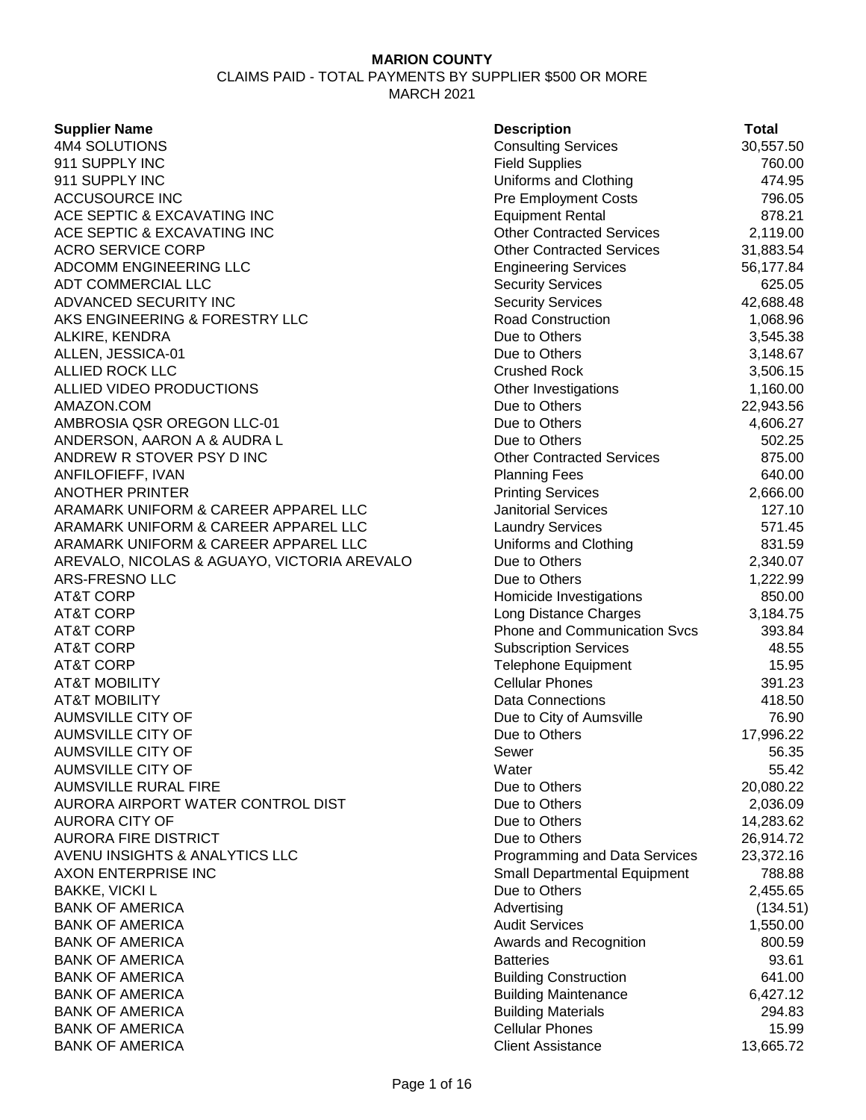| <b>Supplier Name</b>                        | <b>Description</b>                  | <b>Total</b> |
|---------------------------------------------|-------------------------------------|--------------|
| 4M4 SOLUTIONS                               | <b>Consulting Services</b>          | 30,557.50    |
| 911 SUPPLY INC                              | <b>Field Supplies</b>               | 760.00       |
| 911 SUPPLY INC                              | Uniforms and Clothing               | 474.95       |
| <b>ACCUSOURCE INC</b>                       | Pre Employment Costs                | 796.05       |
| ACE SEPTIC & EXCAVATING INC                 | <b>Equipment Rental</b>             | 878.21       |
| ACE SEPTIC & EXCAVATING INC                 | <b>Other Contracted Services</b>    | 2,119.00     |
| <b>ACRO SERVICE CORP</b>                    | <b>Other Contracted Services</b>    | 31,883.54    |
| ADCOMM ENGINEERING LLC                      | <b>Engineering Services</b>         | 56,177.84    |
| ADT COMMERCIAL LLC                          | <b>Security Services</b>            | 625.05       |
| ADVANCED SECURITY INC                       | <b>Security Services</b>            | 42,688.48    |
| AKS ENGINEERING & FORESTRY LLC              | Road Construction                   | 1,068.96     |
| ALKIRE, KENDRA                              | Due to Others                       | 3,545.38     |
| ALLEN, JESSICA-01                           | Due to Others                       | 3,148.67     |
| ALLIED ROCK LLC                             | <b>Crushed Rock</b>                 | 3,506.15     |
| ALLIED VIDEO PRODUCTIONS                    | Other Investigations                | 1,160.00     |
| AMAZON.COM                                  | Due to Others                       | 22,943.56    |
| AMBROSIA QSR OREGON LLC-01                  | Due to Others                       | 4,606.27     |
| ANDERSON, AARON A & AUDRA L                 | Due to Others                       | 502.25       |
| ANDREW R STOVER PSY D INC                   | <b>Other Contracted Services</b>    | 875.00       |
| ANFILOFIEFF, IVAN                           | <b>Planning Fees</b>                | 640.00       |
| <b>ANOTHER PRINTER</b>                      | <b>Printing Services</b>            | 2,666.00     |
| ARAMARK UNIFORM & CAREER APPAREL LLC        | <b>Janitorial Services</b>          | 127.10       |
| ARAMARK UNIFORM & CAREER APPAREL LLC        | <b>Laundry Services</b>             | 571.45       |
| ARAMARK UNIFORM & CAREER APPAREL LLC        | Uniforms and Clothing               | 831.59       |
| AREVALO, NICOLAS & AGUAYO, VICTORIA AREVALO | Due to Others                       | 2,340.07     |
| ARS-FRESNO LLC                              | Due to Others                       | 1,222.99     |
| <b>AT&amp;T CORP</b>                        | Homicide Investigations             | 850.00       |
| <b>AT&amp;T CORP</b>                        | Long Distance Charges               | 3,184.75     |
| <b>AT&amp;T CORP</b>                        | Phone and Communication Svcs        | 393.84       |
| <b>AT&amp;T CORP</b>                        | <b>Subscription Services</b>        | 48.55        |
| <b>AT&amp;T CORP</b>                        | <b>Telephone Equipment</b>          | 15.95        |
| <b>AT&amp;T MOBILITY</b>                    | <b>Cellular Phones</b>              | 391.23       |
| <b>AT&amp;T MOBILITY</b>                    | <b>Data Connections</b>             | 418.50       |
| <b>AUMSVILLE CITY OF</b>                    | Due to City of Aumsville            | 76.90        |
| <b>AUMSVILLE CITY OF</b>                    | Due to Others                       | 17,996.22    |
| AUMSVILLE CITY OF                           | Sewer                               | 56.35        |
| <b>AUMSVILLE CITY OF</b>                    | Water                               | 55.42        |
| <b>AUMSVILLE RURAL FIRE</b>                 | Due to Others                       | 20,080.22    |
| AURORA AIRPORT WATER CONTROL DIST           | Due to Others                       | 2,036.09     |
| <b>AURORA CITY OF</b>                       | Due to Others                       | 14,283.62    |
| <b>AURORA FIRE DISTRICT</b>                 | Due to Others                       | 26,914.72    |
| AVENU INSIGHTS & ANALYTICS LLC              | Programming and Data Services       | 23,372.16    |
| AXON ENTERPRISE INC                         | <b>Small Departmental Equipment</b> | 788.88       |
| <b>BAKKE, VICKI L</b>                       | Due to Others                       | 2,455.65     |
| <b>BANK OF AMERICA</b>                      | Advertising                         | (134.51)     |
| <b>BANK OF AMERICA</b>                      | <b>Audit Services</b>               | 1,550.00     |
| <b>BANK OF AMERICA</b>                      | Awards and Recognition              | 800.59       |
| <b>BANK OF AMERICA</b>                      | <b>Batteries</b>                    | 93.61        |
| <b>BANK OF AMERICA</b>                      | <b>Building Construction</b>        | 641.00       |
| <b>BANK OF AMERICA</b>                      | <b>Building Maintenance</b>         | 6,427.12     |
| <b>BANK OF AMERICA</b>                      | <b>Building Materials</b>           | 294.83       |
| <b>BANK OF AMERICA</b>                      | <b>Cellular Phones</b>              | 15.99        |
| <b>BANK OF AMERICA</b>                      | <b>Client Assistance</b>            | 13,665.72    |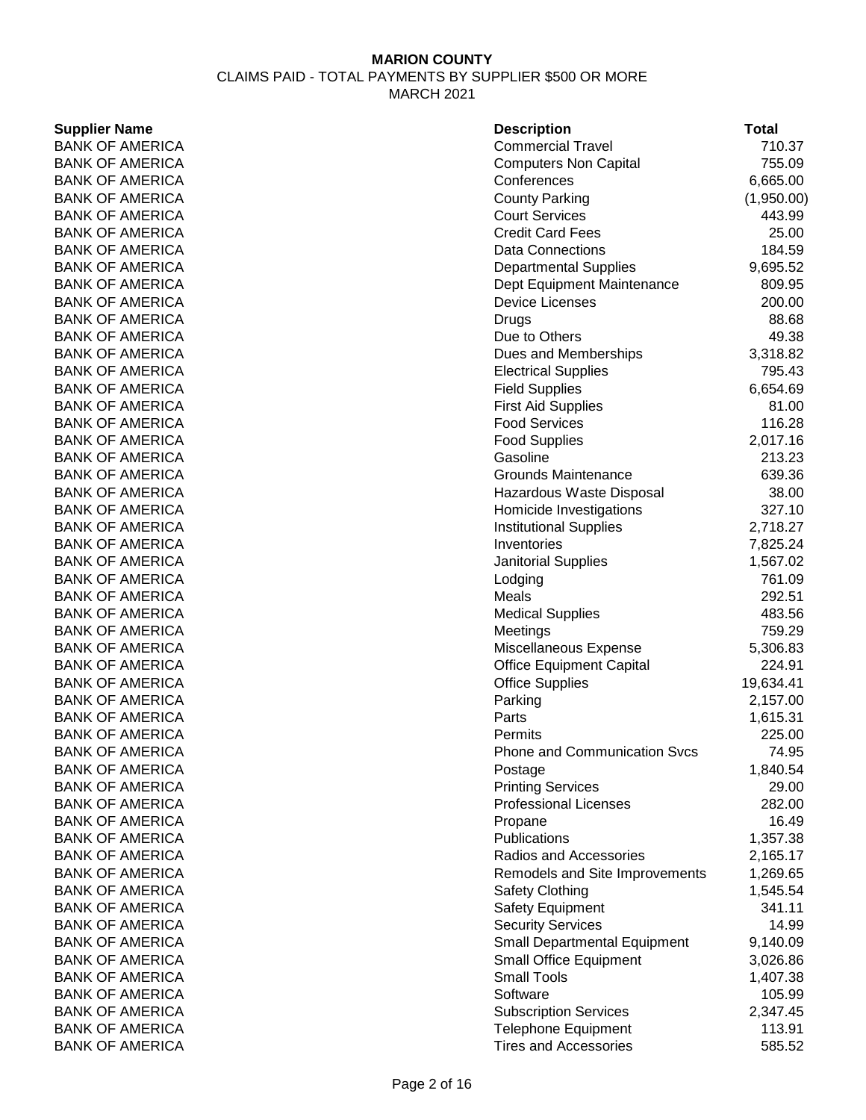### **Supplier Name**

| <b>Supplier Name</b>   | <b>Description</b>                  | Total      |
|------------------------|-------------------------------------|------------|
| <b>BANK OF AMERICA</b> | <b>Commercial Travel</b>            | 710.37     |
| <b>BANK OF AMERICA</b> | <b>Computers Non Capital</b>        | 755.09     |
| <b>BANK OF AMERICA</b> | Conferences                         | 6,665.00   |
| <b>BANK OF AMERICA</b> | <b>County Parking</b>               | (1,950.00) |
| <b>BANK OF AMERICA</b> | <b>Court Services</b>               | 443.99     |
| <b>BANK OF AMERICA</b> | <b>Credit Card Fees</b>             | 25.00      |
| <b>BANK OF AMERICA</b> | <b>Data Connections</b>             | 184.59     |
| <b>BANK OF AMERICA</b> | <b>Departmental Supplies</b>        | 9,695.52   |
| <b>BANK OF AMERICA</b> | Dept Equipment Maintenance          | 809.95     |
| <b>BANK OF AMERICA</b> | <b>Device Licenses</b>              | 200.00     |
| <b>BANK OF AMERICA</b> | <b>Drugs</b>                        | 88.68      |
| <b>BANK OF AMERICA</b> | Due to Others                       | 49.38      |
| <b>BANK OF AMERICA</b> | Dues and Memberships                | 3,318.82   |
| <b>BANK OF AMERICA</b> | <b>Electrical Supplies</b>          | 795.43     |
| <b>BANK OF AMERICA</b> | <b>Field Supplies</b>               | 6,654.69   |
| <b>BANK OF AMERICA</b> | <b>First Aid Supplies</b>           | 81.00      |
| <b>BANK OF AMERICA</b> | <b>Food Services</b>                | 116.28     |
| <b>BANK OF AMERICA</b> |                                     |            |
|                        | <b>Food Supplies</b>                | 2,017.16   |
| <b>BANK OF AMERICA</b> | Gasoline                            | 213.23     |
| <b>BANK OF AMERICA</b> | <b>Grounds Maintenance</b>          | 639.36     |
| <b>BANK OF AMERICA</b> | Hazardous Waste Disposal            | 38.00      |
| <b>BANK OF AMERICA</b> | Homicide Investigations             | 327.10     |
| <b>BANK OF AMERICA</b> | <b>Institutional Supplies</b>       | 2,718.27   |
| <b>BANK OF AMERICA</b> | Inventories                         | 7,825.24   |
| <b>BANK OF AMERICA</b> | <b>Janitorial Supplies</b>          | 1,567.02   |
| <b>BANK OF AMERICA</b> | Lodging                             | 761.09     |
| <b>BANK OF AMERICA</b> | Meals                               | 292.51     |
| <b>BANK OF AMERICA</b> | <b>Medical Supplies</b>             | 483.56     |
| <b>BANK OF AMERICA</b> | Meetings                            | 759.29     |
| <b>BANK OF AMERICA</b> | Miscellaneous Expense               | 5,306.83   |
| <b>BANK OF AMERICA</b> | <b>Office Equipment Capital</b>     | 224.91     |
| <b>BANK OF AMERICA</b> | <b>Office Supplies</b>              | 19,634.41  |
| <b>BANK OF AMERICA</b> | Parking                             | 2,157.00   |
| <b>BANK OF AMERICA</b> | Parts                               | 1,615.31   |
| <b>BANK OF AMERICA</b> | Permits                             | 225.00     |
| <b>BANK OF AMERICA</b> | Phone and Communication Svcs        | 74.95      |
| <b>BANK OF AMERICA</b> | Postage                             | 1,840.54   |
| <b>BANK OF AMERICA</b> | <b>Printing Services</b>            | 29.00      |
| <b>BANK OF AMERICA</b> | <b>Professional Licenses</b>        | 282.00     |
| <b>BANK OF AMERICA</b> | Propane                             | 16.49      |
| <b>BANK OF AMERICA</b> | Publications                        | 1,357.38   |
| <b>BANK OF AMERICA</b> | Radios and Accessories              | 2,165.17   |
| <b>BANK OF AMERICA</b> | Remodels and Site Improvements      | 1,269.65   |
| <b>BANK OF AMERICA</b> | <b>Safety Clothing</b>              | 1,545.54   |
| <b>BANK OF AMERICA</b> | <b>Safety Equipment</b>             | 341.11     |
| <b>BANK OF AMERICA</b> | <b>Security Services</b>            | 14.99      |
| <b>BANK OF AMERICA</b> | <b>Small Departmental Equipment</b> | 9,140.09   |
| <b>BANK OF AMERICA</b> | <b>Small Office Equipment</b>       | 3,026.86   |
| <b>BANK OF AMERICA</b> | <b>Small Tools</b>                  | 1,407.38   |
| <b>BANK OF AMERICA</b> | Software                            | 105.99     |
| <b>BANK OF AMERICA</b> | <b>Subscription Services</b>        | 2,347.45   |
| <b>BANK OF AMERICA</b> | <b>Telephone Equipment</b>          | 113.91     |
| <b>BANK OF AMERICA</b> | <b>Tires and Accessories</b>        | 585.52     |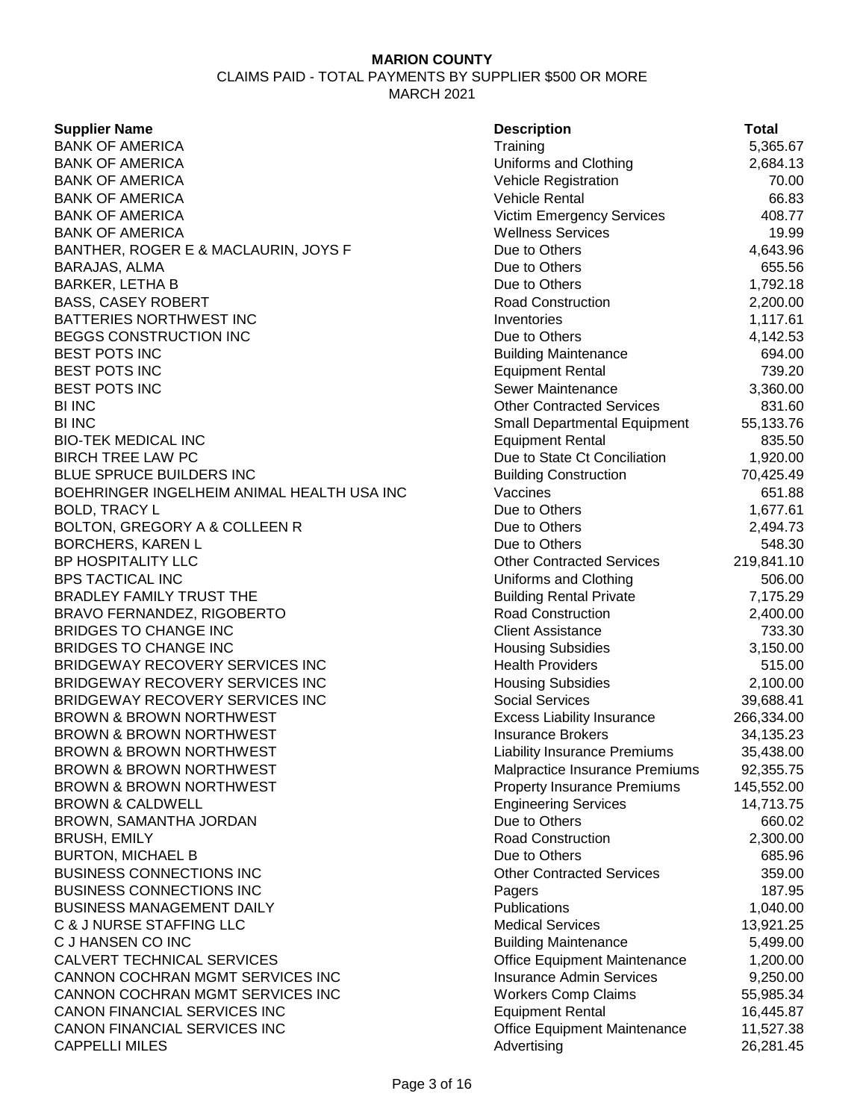CLAIMS PAID - TOTAL PAYMENTS BY SUPPLIER \$500 OR MORE MARCH 2021

| <b>Supplier Name</b>                           | <b>Description</b>                                | <b>Total</b> |
|------------------------------------------------|---------------------------------------------------|--------------|
| <b>BANK OF AMERICA</b>                         | Training                                          | 5,365.67     |
| <b>BANK OF AMERICA</b>                         | Uniforms and Clothing                             | 2,684.13     |
| <b>BANK OF AMERICA</b>                         | <b>Vehicle Registration</b>                       | 70.00        |
| <b>BANK OF AMERICA</b>                         | Vehicle Rental                                    | 66.83        |
| <b>BANK OF AMERICA</b>                         | <b>Victim Emergency Services</b>                  | 408.77       |
| <b>BANK OF AMERICA</b>                         | <b>Wellness Services</b>                          | 19.99        |
| BANTHER, ROGER E & MACLAURIN, JOYS F           | Due to Others                                     | 4,643.96     |
| <b>BARAJAS, ALMA</b>                           | Due to Others                                     | 655.56       |
| <b>BARKER, LETHA B</b>                         | Due to Others                                     | 1,792.18     |
| <b>BASS, CASEY ROBERT</b>                      | <b>Road Construction</b>                          | 2,200.00     |
| BATTERIES NORTHWEST INC                        | Inventories                                       | 1,117.61     |
| BEGGS CONSTRUCTION INC                         | Due to Others                                     | 4,142.53     |
| <b>BEST POTS INC</b>                           | <b>Building Maintenance</b>                       | 694.00       |
| <b>BEST POTS INC</b>                           | <b>Equipment Rental</b>                           | 739.20       |
| <b>BEST POTS INC</b>                           | Sewer Maintenance                                 | 3,360.00     |
| <b>BI INC</b>                                  | <b>Other Contracted Services</b>                  | 831.60       |
| <b>BI INC</b>                                  | <b>Small Departmental Equipment</b>               | 55,133.76    |
| <b>BIO-TEK MEDICAL INC</b>                     | <b>Equipment Rental</b>                           | 835.50       |
| <b>BIRCH TREE LAW PC</b>                       | Due to State Ct Conciliation                      | 1,920.00     |
| BLUE SPRUCE BUILDERS INC                       | <b>Building Construction</b>                      | 70,425.49    |
| BOEHRINGER INGELHEIM ANIMAL HEALTH USA INC     | Vaccines                                          | 651.88       |
| <b>BOLD, TRACY L</b>                           | Due to Others                                     | 1,677.61     |
| BOLTON, GREGORY A & COLLEEN R                  | Due to Others                                     | 2,494.73     |
|                                                |                                                   | 548.30       |
| <b>BORCHERS, KAREN L</b><br>BP HOSPITALITY LLC | Due to Others<br><b>Other Contracted Services</b> |              |
|                                                |                                                   | 219,841.10   |
| <b>BPS TACTICAL INC</b>                        | Uniforms and Clothing                             | 506.00       |
| BRADLEY FAMILY TRUST THE                       | <b>Building Rental Private</b>                    | 7,175.29     |
| BRAVO FERNANDEZ, RIGOBERTO                     | <b>Road Construction</b>                          | 2,400.00     |
| <b>BRIDGES TO CHANGE INC</b>                   | <b>Client Assistance</b>                          | 733.30       |
| <b>BRIDGES TO CHANGE INC</b>                   | <b>Housing Subsidies</b>                          | 3,150.00     |
| BRIDGEWAY RECOVERY SERVICES INC                | <b>Health Providers</b>                           | 515.00       |
| BRIDGEWAY RECOVERY SERVICES INC                | <b>Housing Subsidies</b>                          | 2,100.00     |
| BRIDGEWAY RECOVERY SERVICES INC                | <b>Social Services</b>                            | 39,688.41    |
| <b>BROWN &amp; BROWN NORTHWEST</b>             | <b>Excess Liability Insurance</b>                 | 266,334.00   |
| <b>BROWN &amp; BROWN NORTHWEST</b>             | <b>Insurance Brokers</b>                          | 34,135.23    |
| <b>BROWN &amp; BROWN NORTHWEST</b>             | <b>Liability Insurance Premiums</b>               | 35,438.00    |
| <b>BROWN &amp; BROWN NORTHWEST</b>             | Malpractice Insurance Premiums                    | 92,355.75    |
| <b>BROWN &amp; BROWN NORTHWEST</b>             | <b>Property Insurance Premiums</b>                | 145,552.00   |
| <b>BROWN &amp; CALDWELL</b>                    | <b>Engineering Services</b>                       | 14,713.75    |
| BROWN, SAMANTHA JORDAN                         | Due to Others                                     | 660.02       |
| <b>BRUSH, EMILY</b>                            | <b>Road Construction</b>                          | 2,300.00     |
| <b>BURTON, MICHAEL B</b>                       | Due to Others                                     | 685.96       |
| <b>BUSINESS CONNECTIONS INC</b>                | <b>Other Contracted Services</b>                  | 359.00       |
| <b>BUSINESS CONNECTIONS INC</b>                | Pagers                                            | 187.95       |
| <b>BUSINESS MANAGEMENT DAILY</b>               | Publications                                      | 1,040.00     |
| <b>C &amp; J NURSE STAFFING LLC</b>            | <b>Medical Services</b>                           | 13,921.25    |
| C J HANSEN CO INC                              | <b>Building Maintenance</b>                       | 5,499.00     |
| CALVERT TECHNICAL SERVICES                     | <b>Office Equipment Maintenance</b>               | 1,200.00     |
| CANNON COCHRAN MGMT SERVICES INC               | <b>Insurance Admin Services</b>                   | 9,250.00     |
| CANNON COCHRAN MGMT SERVICES INC               | <b>Workers Comp Claims</b>                        | 55,985.34    |
| CANON FINANCIAL SERVICES INC                   | <b>Equipment Rental</b>                           | 16,445.87    |
| CANON FINANCIAL SERVICES INC                   | Office Equipment Maintenance                      | 11,527.38    |
| <b>CAPPELLI MILES</b>                          | Advertising                                       | 26,281.45    |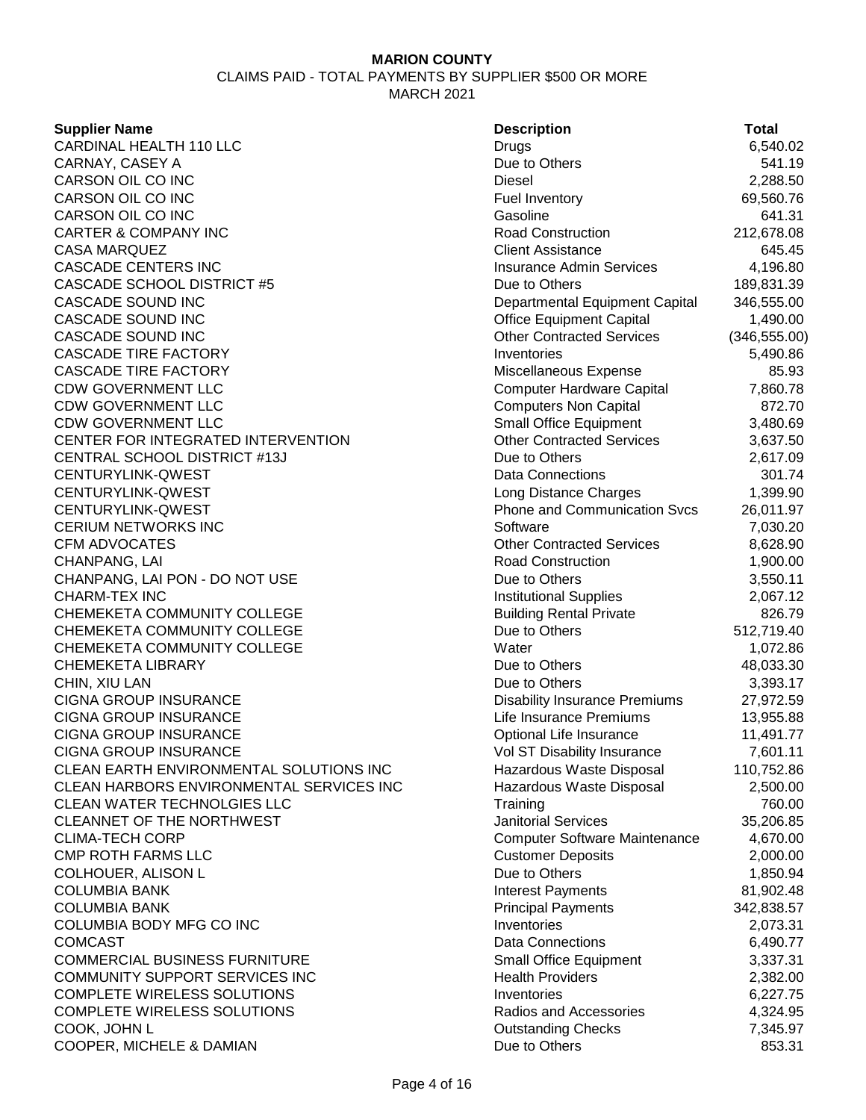CLAIMS PAID - TOTAL PAYMENTS BY SUPPLIER \$500 OR MORE MARCH 2021

### **Supplier Name**

CARDINAL HEALTH 110 LLC CARNAY, CASEY A CARSON OIL CO INC CARSON OIL CO INC CARSON OIL CO INC **CARTER & COMPANY INC CASA MARQUEZ CASCADE CENTERS INC** CASCADE SCHOOL DISTRICT #5 CASCADE SOUND INC **CASCADE SOUND INC CASCADE SOUND INC CASCADE TIRE FACTORY CASCADE TIRE FACTORY** CDW GOVERNMENT LLC CDW GOVERNMENT LLC CDW GOVERNMENT LLC CENTER FOR INTEGRATED INTERVENTION CENTRAL SCHOOL DISTRICT #13J CENTURYLINK-QWEST CENTURYLINK-QWEST CENTURYLINK-QWEST **CERIUM NETWORKS INC** CFM ADVOCATES CHANPANG, LAI CHANPANG, LAI PON - DO NOT USE **CHARM-TEX INC** CHEMEKETA COMMUNITY COLLEGE CHEMEKETA COMMUNITY COLLEGE CHEMEKETA COMMUNITY COLLEGE **CHEMEKETA LIBRARY** CHIN, XIU LAN CIGNA GROUP INSURANCE CIGNA GROUP INSURANCE CIGNA GROUP INSURANCE CIGNA GROUP INSURANCE CLEAN EARTH ENVIRONMENTAL SOLUTIONS INC CLEAN HARBORS ENVIRONMENTAL SERVICES INC **CLEAN WATER TECHNOLGIES LLC** CLEANNET OF THE NORTHWEST **CLIMA-TECH CORP CMP ROTH FARMS LLC** COLHOUER, ALISON L **COLUMBIA BANK COLUMBIA BANK** COLUMBIA BODY MFG CO INC COMCAST Data Connections 6,490.77 COMMERCIAL BUSINESS FURNITURE COMMUNITY SUPPORT SERVICES INC COMPLETE WIRELESS SOLUTIONS COMPLETE WIRELESS SOLUTIONS COOK, JOHN L COOPER, MICHELE & DAMIAN

| <b>Description</b>                   | Total         |
|--------------------------------------|---------------|
| Drugs                                | 6,540.02      |
| Due to Others                        | 541.19        |
| Diesel                               | 2,288.50      |
| <b>Fuel Inventory</b>                | 69,560.76     |
| Gasoline                             | 641.31        |
| <b>Road Construction</b>             | 212,678.08    |
| <b>Client Assistance</b>             | 645.45        |
| <b>Insurance Admin Services</b>      | 4,196.80      |
| Due to Others                        | 189,831.39    |
| Departmental Equipment Capital       | 346,555.00    |
| <b>Office Equipment Capital</b>      | 1,490.00      |
| <b>Other Contracted Services</b>     | (346, 555.00) |
| Inventories                          | 5,490.86      |
| Miscellaneous Expense                | 85.93         |
| <b>Computer Hardware Capital</b>     | 7,860.78      |
| <b>Computers Non Capital</b>         | 872.70        |
| <b>Small Office Equipment</b>        | 3,480.69      |
| <b>Other Contracted Services</b>     | 3,637.50      |
| Due to Others                        | 2,617.09      |
| <b>Data Connections</b>              | 301.74        |
| Long Distance Charges                | 1,399.90      |
| <b>Phone and Communication Svcs</b>  | 26,011.97     |
| Software                             | 7,030.20      |
| <b>Other Contracted Services</b>     | 8,628.90      |
| <b>Road Construction</b>             | 1,900.00      |
| Due to Others                        | 3,550.11      |
| <b>Institutional Supplies</b>        | 2,067.12      |
| <b>Building Rental Private</b>       | 826.79        |
| Due to Others                        | 512,719.40    |
| Water                                | 1,072.86      |
| Due to Others                        | 48,033.30     |
| Due to Others                        | 3,393.17      |
| <b>Disability Insurance Premiums</b> | 27,972.59     |
| Life Insurance Premiums              | 13,955.88     |
| Optional Life Insurance              | 11,491.77     |
| Vol ST Disability Insurance          | 7,601.11      |
| Hazardous Waste Disposal             | 110,752.86    |
| Hazardous Waste Disposal             | 2,500.00      |
| Training                             | 760.00        |
| <b>Janitorial Services</b>           | 35,206.85     |
| <b>Computer Software Maintenance</b> | 4,670.00      |
| <b>Customer Deposits</b>             | 2,000.00      |
| Due to Others                        | 1,850.94      |
| <b>Interest Payments</b>             | 81,902.48     |
| <b>Principal Payments</b>            | 342,838.57    |
| Inventories                          | 2,073.31      |
| <b>Data Connections</b>              | 6,490.77      |
| <b>Small Office Equipment</b>        | 3,337.31      |
| <b>Health Providers</b>              | 2,382.00      |
| Inventories                          | 6,227.75      |
| Radios and Accessories               | 4,324.95      |
| <b>Outstanding Checks</b>            | 7,345.97      |
| Due to Others                        | 853.31        |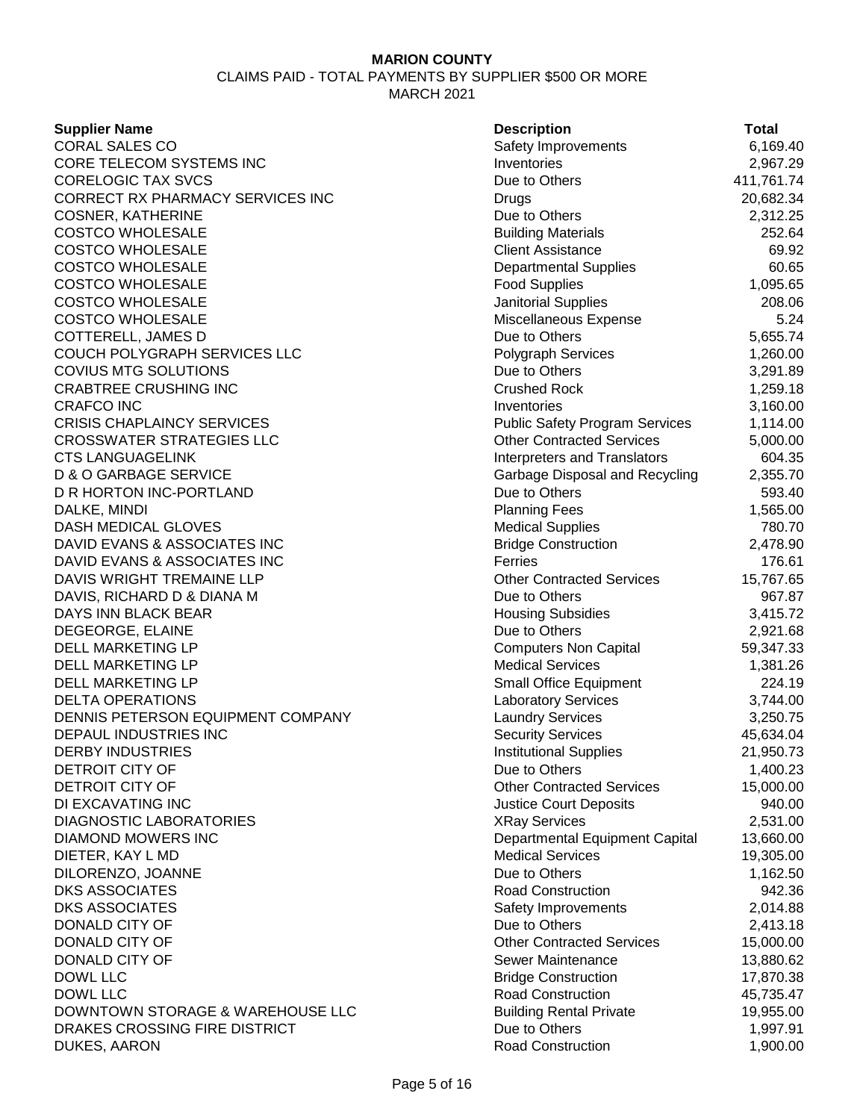CLAIMS PAID - TOTAL PAYMENTS BY SUPPLIER \$500 OR MORE MARCH 2021

### **Supplier Name**

CORAL SALES CO CORE TELECOM SYSTEMS INC CORELOGIC TAX SVCS CORRECT RX PHARMACY SERVICES INC COSNER, KATHERINE **COSTCO WHOLESALE** COSTCO WHOLESALE COSTCO WHOLESALE **COSTCO WHOLESALE** COSTCO WHOLESALE COSTCO WHOLESALE COTTERELL, JAMES D COUCH POLYGRAPH SERVICES LLC COVIUS MTG SOLUTIONS **CRABTREE CRUSHING INC** CRAFCO INC 3,160.00 **CRISIS CHAPLAINCY SERVICES** CROSSWATER STRATEGIES LLC **CTS LANGUAGELINK** D & O GARBAGE SERVICE D R HORTON INC-PORTLAND DALKE, MINDI DASH MEDICAL GLOVES DAVID EVANS & ASSOCIATES INC DAVID EVANS & ASSOCIATES INC DAVIS WRIGHT TREMAINE LLP DAVIS, RICHARD D & DIANA M DAYS INN BLACK BEAR DEGEORGE, ELAINE DELL MARKETING LP DELL MARKETING LP DELL MARKETING LP DELTA OPERATIONS DENNIS PETERSON EQUIPMENT COMPANY DEPAUL INDUSTRIES INC **DERBY INDUSTRIES** DETROIT CITY OF DETROIT CITY OF DI EXCAVATING INC DIAGNOSTIC LABORATORIES DIAMOND MOWERS INC DIETER, KAY L MD DILORENZO, JOANNE **DKS ASSOCIATES** DKS ASSOCIATES DONALD CITY OF DONALD CITY OF DONALD CITY OF DOWL LLC Bridge Construction 17,870.38 DOWL LLC Road Construction 45,735.47 DOWNTOWN STORAGE & WAREHOUSE LLC DRAKES CROSSING FIRE DISTRICT DUKES, AARON

| <b>Description</b>                    | <b>Total</b> |
|---------------------------------------|--------------|
| Safety Improvements                   | 6,169.40     |
| Inventories                           | 2,967.29     |
| Due to Others                         | 411,761.74   |
| Drugs                                 | 20,682.34    |
| Due to Others                         | 2,312.25     |
| <b>Building Materials</b>             | 252.64       |
| <b>Client Assistance</b>              | 69.92        |
| Departmental Supplies                 | 60.65        |
| <b>Food Supplies</b>                  | 1,095.65     |
| Janitorial Supplies                   | 208.06       |
| Miscellaneous Expense                 | 5.24         |
| Due to Others                         | 5,655.74     |
| Polygraph Services                    | 1,260.00     |
| Due to Others                         | 3,291.89     |
| <b>Crushed Rock</b>                   | 1,259.18     |
| Inventories                           | 3,160.00     |
| <b>Public Safety Program Services</b> | 1,114.00     |
| <b>Other Contracted Services</b>      | 5,000.00     |
| <b>Interpreters and Translators</b>   | 604.35       |
| Garbage Disposal and Recycling        | 2,355.70     |
| Due to Others                         | 593.40       |
| <b>Planning Fees</b>                  | 1,565.00     |
| <b>Medical Supplies</b>               | 780.70       |
| <b>Bridge Construction</b>            | 2,478.90     |
| Ferries                               | 176.61       |
| <b>Other Contracted Services</b>      | 15,767.65    |
| Due to Others                         | 967.87       |
| <b>Housing Subsidies</b>              | 3,415.72     |
| Due to Others                         | 2,921.68     |
| <b>Computers Non Capital</b>          | 59,347.33    |
| <b>Medical Services</b>               | 1,381.26     |
| <b>Small Office Equipment</b>         | 224.19       |
| Laboratory Services                   | 3,744.00     |
| <b>Laundry Services</b>               | 3,250.75     |
| <b>Security Services</b>              | 45,634.04    |
| <b>Institutional Supplies</b>         | 21,950.73    |
| Due to Others                         | 1,400.23     |
| <b>Other Contracted Services</b>      | 15,000.00    |
| <b>Justice Court Deposits</b>         | 940.00       |
| XRay Services                         | 2,531.00     |
| Departmental Equipment Capital        | 13,660.00    |
| <b>Medical Services</b>               | 19,305.00    |
| Due to Others                         | 1,162.50     |
| <b>Road Construction</b>              | 942.36       |
| Safety Improvements                   | 2,014.88     |
| Due to Others                         | 2,413.18     |
| <b>Other Contracted Services</b>      | 15,000.00    |
| Sewer Maintenance                     | 13,880.62    |
| <b>Bridge Construction</b>            | 17,870.38    |
| <b>Road Construction</b>              | 45,735.47    |
| <b>Building Rental Private</b>        | 19,955.00    |
| Due to Others                         | 1,997.91     |
| <b>Road Construction</b>              | 1,900.00     |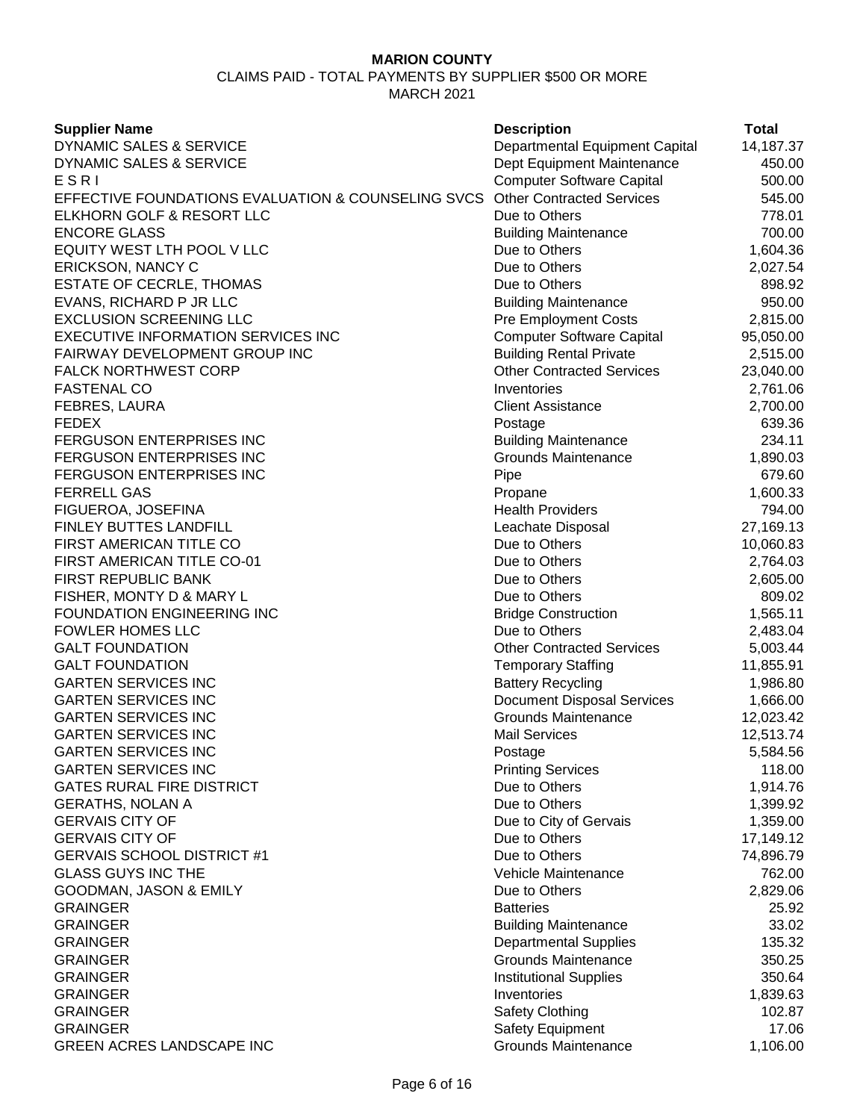CLAIMS PAID - TOTAL PAYMENTS BY SUPPLIER \$500 OR MORE MARCH 2021

| <b>Supplier Name</b>                               | <b>Description</b>                | <b>Total</b> |
|----------------------------------------------------|-----------------------------------|--------------|
| DYNAMIC SALES & SERVICE                            | Departmental Equipment Capital    | 14,187.37    |
| DYNAMIC SALES & SERVICE                            | Dept Equipment Maintenance        | 450.00       |
| ESRI                                               | <b>Computer Software Capital</b>  | 500.00       |
| EFFECTIVE FOUNDATIONS EVALUATION & COUNSELING SVCS | <b>Other Contracted Services</b>  | 545.00       |
| ELKHORN GOLF & RESORT LLC                          | Due to Others                     | 778.01       |
| <b>ENCORE GLASS</b>                                | <b>Building Maintenance</b>       | 700.00       |
| EQUITY WEST LTH POOL V LLC                         | Due to Others                     | 1,604.36     |
| ERICKSON, NANCY C                                  | Due to Others                     | 2,027.54     |
| <b>ESTATE OF CECRLE, THOMAS</b>                    | Due to Others                     | 898.92       |
| EVANS, RICHARD P JR LLC                            | <b>Building Maintenance</b>       | 950.00       |
| <b>EXCLUSION SCREENING LLC</b>                     | <b>Pre Employment Costs</b>       | 2,815.00     |
| <b>EXECUTIVE INFORMATION SERVICES INC</b>          | <b>Computer Software Capital</b>  | 95,050.00    |
| FAIRWAY DEVELOPMENT GROUP INC                      | <b>Building Rental Private</b>    | 2,515.00     |
| <b>FALCK NORTHWEST CORP</b>                        | <b>Other Contracted Services</b>  | 23,040.00    |
| <b>FASTENAL CO</b>                                 | Inventories                       | 2,761.06     |
| FEBRES, LAURA                                      | <b>Client Assistance</b>          | 2,700.00     |
| <b>FEDEX</b>                                       | Postage                           | 639.36       |
| <b>FERGUSON ENTERPRISES INC</b>                    | <b>Building Maintenance</b>       | 234.11       |
| <b>FERGUSON ENTERPRISES INC</b>                    | <b>Grounds Maintenance</b>        | 1,890.03     |
| <b>FERGUSON ENTERPRISES INC</b>                    | Pipe                              | 679.60       |
| <b>FERRELL GAS</b>                                 | Propane                           | 1,600.33     |
| FIGUEROA, JOSEFINA                                 | <b>Health Providers</b>           | 794.00       |
| FINLEY BUTTES LANDFILL                             | Leachate Disposal                 | 27,169.13    |
| FIRST AMERICAN TITLE CO                            | Due to Others                     | 10,060.83    |
| FIRST AMERICAN TITLE CO-01                         | Due to Others                     | 2,764.03     |
| FIRST REPUBLIC BANK                                | Due to Others                     | 2,605.00     |
| FISHER, MONTY D & MARY L                           | Due to Others                     | 809.02       |
| <b>FOUNDATION ENGINEERING INC</b>                  | <b>Bridge Construction</b>        | 1,565.11     |
| <b>FOWLER HOMES LLC</b>                            | Due to Others                     | 2,483.04     |
| <b>GALT FOUNDATION</b>                             | <b>Other Contracted Services</b>  | 5,003.44     |
| <b>GALT FOUNDATION</b>                             | <b>Temporary Staffing</b>         | 11,855.91    |
| <b>GARTEN SERVICES INC</b>                         | <b>Battery Recycling</b>          | 1,986.80     |
| <b>GARTEN SERVICES INC</b>                         | <b>Document Disposal Services</b> | 1,666.00     |
| <b>GARTEN SERVICES INC</b>                         | <b>Grounds Maintenance</b>        | 12,023.42    |
| <b>GARTEN SERVICES INC</b>                         | <b>Mail Services</b>              | 12,513.74    |
| <b>GARTEN SERVICES INC</b>                         | Postage                           | 5,584.56     |
| <b>GARTEN SERVICES INC</b>                         | <b>Printing Services</b>          | 118.00       |
| <b>GATES RURAL FIRE DISTRICT</b>                   | Due to Others                     | 1,914.76     |
| <b>GERATHS, NOLAN A</b>                            | Due to Others                     | 1,399.92     |
| <b>GERVAIS CITY OF</b>                             | Due to City of Gervais            | 1,359.00     |
| <b>GERVAIS CITY OF</b>                             | Due to Others                     | 17,149.12    |
| <b>GERVAIS SCHOOL DISTRICT #1</b>                  | Due to Others                     | 74,896.79    |
| <b>GLASS GUYS INC THE</b>                          | Vehicle Maintenance               | 762.00       |
| GOODMAN, JASON & EMILY                             | Due to Others                     | 2,829.06     |
| <b>GRAINGER</b>                                    | <b>Batteries</b>                  | 25.92        |
| <b>GRAINGER</b>                                    | <b>Building Maintenance</b>       | 33.02        |
| <b>GRAINGER</b>                                    | <b>Departmental Supplies</b>      | 135.32       |
| <b>GRAINGER</b>                                    | <b>Grounds Maintenance</b>        | 350.25       |
| <b>GRAINGER</b>                                    | <b>Institutional Supplies</b>     | 350.64       |
| <b>GRAINGER</b>                                    | Inventories                       | 1,839.63     |
| <b>GRAINGER</b>                                    | Safety Clothing                   | 102.87       |
| <b>GRAINGER</b>                                    | Safety Equipment                  | 17.06        |
| <b>GREEN ACRES LANDSCAPE INC</b>                   | <b>Grounds Maintenance</b>        | 1,106.00     |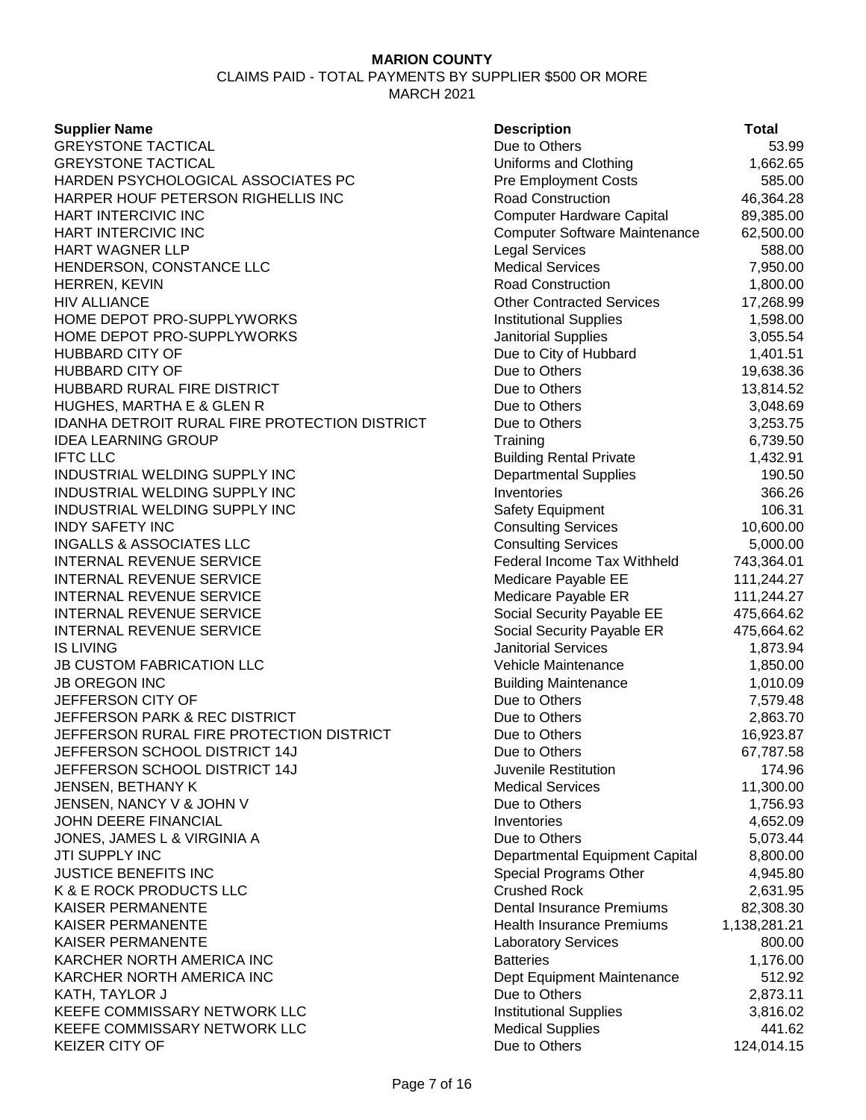MARCH 2021

| <b>Supplier Name</b>                                 | <b>Description</b>                   | Total        |
|------------------------------------------------------|--------------------------------------|--------------|
| <b>GREYSTONE TACTICAL</b>                            | Due to Others                        | 53.99        |
| <b>GREYSTONE TACTICAL</b>                            | Uniforms and Clothing                | 1,662.65     |
| HARDEN PSYCHOLOGICAL ASSOCIATES PC                   | <b>Pre Employment Costs</b>          | 585.00       |
| HARPER HOUF PETERSON RIGHELLIS INC                   | <b>Road Construction</b>             | 46,364.28    |
| HART INTERCIVIC INC                                  | <b>Computer Hardware Capital</b>     | 89,385.00    |
| HART INTERCIVIC INC                                  | <b>Computer Software Maintenance</b> | 62,500.00    |
| <b>HART WAGNER LLP</b>                               | <b>Legal Services</b>                | 588.00       |
| HENDERSON, CONSTANCE LLC                             | <b>Medical Services</b>              | 7,950.00     |
| HERREN, KEVIN                                        | Road Construction                    | 1,800.00     |
| <b>HIV ALLIANCE</b>                                  | <b>Other Contracted Services</b>     | 17,268.99    |
| HOME DEPOT PRO-SUPPLYWORKS                           | <b>Institutional Supplies</b>        | 1,598.00     |
| HOME DEPOT PRO-SUPPLYWORKS                           | <b>Janitorial Supplies</b>           | 3,055.54     |
| <b>HUBBARD CITY OF</b>                               | Due to City of Hubbard               | 1,401.51     |
| <b>HUBBARD CITY OF</b>                               | Due to Others                        | 19,638.36    |
| HUBBARD RURAL FIRE DISTRICT                          | Due to Others                        | 13,814.52    |
| HUGHES, MARTHA E & GLEN R                            | Due to Others                        | 3,048.69     |
| <b>IDANHA DETROIT RURAL FIRE PROTECTION DISTRICT</b> | Due to Others                        | 3,253.75     |
| <b>IDEA LEARNING GROUP</b>                           | Training                             | 6,739.50     |
| <b>IFTC LLC</b>                                      |                                      |              |
|                                                      | <b>Building Rental Private</b>       | 1,432.91     |
| INDUSTRIAL WELDING SUPPLY INC                        | <b>Departmental Supplies</b>         | 190.50       |
| INDUSTRIAL WELDING SUPPLY INC                        | Inventories                          | 366.26       |
| INDUSTRIAL WELDING SUPPLY INC                        | <b>Safety Equipment</b>              | 106.31       |
| <b>INDY SAFETY INC</b>                               | <b>Consulting Services</b>           | 10,600.00    |
| <b>INGALLS &amp; ASSOCIATES LLC</b>                  | <b>Consulting Services</b>           | 5,000.00     |
| <b>INTERNAL REVENUE SERVICE</b>                      | Federal Income Tax Withheld          | 743,364.01   |
| <b>INTERNAL REVENUE SERVICE</b>                      | Medicare Payable EE                  | 111,244.27   |
| <b>INTERNAL REVENUE SERVICE</b>                      | Medicare Payable ER                  | 111,244.27   |
| <b>INTERNAL REVENUE SERVICE</b>                      | Social Security Payable EE           | 475,664.62   |
| <b>INTERNAL REVENUE SERVICE</b>                      | Social Security Payable ER           | 475,664.62   |
| <b>IS LIVING</b>                                     | <b>Janitorial Services</b>           | 1,873.94     |
| <b>JB CUSTOM FABRICATION LLC</b>                     | Vehicle Maintenance                  | 1,850.00     |
| <b>JB OREGON INC</b>                                 | <b>Building Maintenance</b>          | 1,010.09     |
| JEFFERSON CITY OF                                    | Due to Others                        | 7,579.48     |
| <b>JEFFERSON PARK &amp; REC DISTRICT</b>             | Due to Others                        | 2,863.70     |
| JEFFERSON RURAL FIRE PROTECTION DISTRICT             | Due to Others                        | 16,923.87    |
| JEFFERSON SCHOOL DISTRICT 14J                        | Due to Others                        | 67,787.58    |
| JEFFERSON SCHOOL DISTRICT 14J                        | Juvenile Restitution                 | 174.96       |
| JENSEN, BETHANY K                                    | <b>Medical Services</b>              | 11,300.00    |
| JENSEN, NANCY V & JOHN V                             | Due to Others                        | 1,756.93     |
| JOHN DEERE FINANCIAL                                 | Inventories                          | 4,652.09     |
| JONES, JAMES L & VIRGINIA A                          | Due to Others                        | 5,073.44     |
| JTI SUPPLY INC                                       | Departmental Equipment Capital       | 8,800.00     |
| <b>JUSTICE BENEFITS INC</b>                          | Special Programs Other               | 4,945.80     |
| K & E ROCK PRODUCTS LLC                              | <b>Crushed Rock</b>                  | 2,631.95     |
| <b>KAISER PERMANENTE</b>                             | <b>Dental Insurance Premiums</b>     | 82,308.30    |
| KAISER PERMANENTE                                    | <b>Health Insurance Premiums</b>     | 1,138,281.21 |
| <b>KAISER PERMANENTE</b>                             | <b>Laboratory Services</b>           | 800.00       |
| KARCHER NORTH AMERICA INC                            | <b>Batteries</b>                     | 1,176.00     |
| KARCHER NORTH AMERICA INC                            | Dept Equipment Maintenance           | 512.92       |
| KATH, TAYLOR J                                       | Due to Others                        | 2,873.11     |
| KEEFE COMMISSARY NETWORK LLC                         | <b>Institutional Supplies</b>        | 3,816.02     |
| KEEFE COMMISSARY NETWORK LLC                         | <b>Medical Supplies</b>              | 441.62       |
| <b>KEIZER CITY OF</b>                                | Due to Others                        | 124,014.15   |
|                                                      |                                      |              |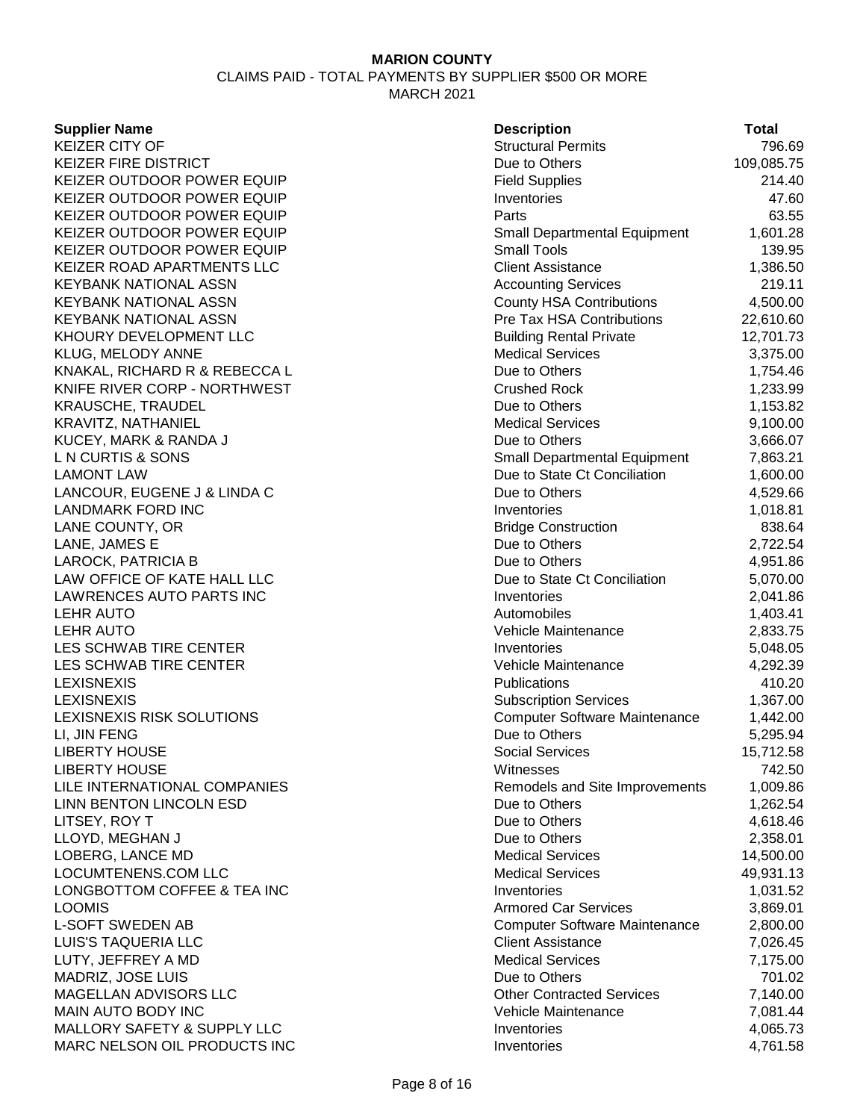CLAIMS PAID - TOTAL PAYMENTS BY SUPPLIER \$500 OR MORE MARCH 2021

#### **Supplier Name**

| <b>Supplier Name</b>           | <b>Description</b>                   | <b>Total</b> |
|--------------------------------|--------------------------------------|--------------|
| <b>KEIZER CITY OF</b>          | <b>Structural Permits</b>            | 796.69       |
| KEIZER FIRE DISTRICT           | Due to Others                        | 109,085.75   |
| KEIZER OUTDOOR POWER EQUIP     | <b>Field Supplies</b>                | 214.40       |
| KEIZER OUTDOOR POWER EQUIP     | Inventories                          | 47.60        |
| KEIZER OUTDOOR POWER EQUIP     | Parts                                | 63.55        |
| KEIZER OUTDOOR POWER EQUIP     | <b>Small Departmental Equipment</b>  | 1,601.28     |
| KEIZER OUTDOOR POWER EQUIP     | <b>Small Tools</b>                   | 139.95       |
| KEIZER ROAD APARTMENTS LLC     | <b>Client Assistance</b>             | 1,386.50     |
| KEYBANK NATIONAL ASSN          | <b>Accounting Services</b>           | 219.11       |
| KEYBANK NATIONAL ASSN          | <b>County HSA Contributions</b>      | 4,500.00     |
| KEYBANK NATIONAL ASSN          | Pre Tax HSA Contributions            | 22,610.60    |
| KHOURY DEVELOPMENT LLC         | <b>Building Rental Private</b>       | 12,701.73    |
| KLUG, MELODY ANNE              | <b>Medical Services</b>              | 3,375.00     |
| KNAKAL, RICHARD R & REBECCA L  | Due to Others                        | 1,754.46     |
| KNIFE RIVER CORP - NORTHWEST   | <b>Crushed Rock</b>                  | 1,233.99     |
| KRAUSCHE, TRAUDEL              | Due to Others                        | 1,153.82     |
| KRAVITZ, NATHANIEL             | <b>Medical Services</b>              | 9,100.00     |
| KUCEY, MARK & RANDA J          | Due to Others                        | 3,666.07     |
| L N CURTIS & SONS              | <b>Small Departmental Equipment</b>  | 7,863.21     |
| <b>LAMONT LAW</b>              | Due to State Ct Conciliation         | 1,600.00     |
| LANCOUR, EUGENE J & LINDA C    | Due to Others                        | 4,529.66     |
| <b>LANDMARK FORD INC</b>       | Inventories                          | 1,018.81     |
| LANE COUNTY, OR                | <b>Bridge Construction</b>           | 838.64       |
| LANE, JAMES E                  | Due to Others                        | 2,722.54     |
| LAROCK, PATRICIA B             | Due to Others                        | 4,951.86     |
| LAW OFFICE OF KATE HALL LLC    | Due to State Ct Conciliation         | 5,070.00     |
| LAWRENCES AUTO PARTS INC       | Inventories                          | 2,041.86     |
| <b>LEHR AUTO</b>               | Automobiles                          | 1,403.41     |
| <b>LEHR AUTO</b>               | Vehicle Maintenance                  | 2,833.75     |
| LES SCHWAB TIRE CENTER         | Inventories                          | 5,048.05     |
| LES SCHWAB TIRE CENTER         | Vehicle Maintenance                  | 4,292.39     |
| <b>LEXISNEXIS</b>              | Publications                         | 410.20       |
| <b>LEXISNEXIS</b>              | <b>Subscription Services</b>         | 1,367.00     |
| LEXISNEXIS RISK SOLUTIONS      | <b>Computer Software Maintenance</b> | 1,442.00     |
| LI, JIN FENG                   | Due to Others                        | 5,295.94     |
| <b>LIBERTY HOUSE</b>           | <b>Social Services</b>               | 15,712.58    |
| <b>LIBERTY HOUSE</b>           | Witnesses                            | 742.50       |
| LILE INTERNATIONAL COMPANIES   | Remodels and Site Improvements       | 1,009.86     |
| <b>LINN BENTON LINCOLN ESD</b> | Due to Others                        | 1,262.54     |
| LITSEY, ROY T                  | Due to Others                        | 4,618.46     |
| LLOYD, MEGHAN J                | Due to Others                        | 2,358.01     |
| LOBERG, LANCE MD               | <b>Medical Services</b>              | 14,500.00    |
| LOCUMTENENS.COM LLC            | <b>Medical Services</b>              | 49,931.13    |
| LONGBOTTOM COFFEE & TEA INC    | Inventories                          | 1,031.52     |
| LOOMIS                         | <b>Armored Car Services</b>          | 3,869.01     |
| <b>L-SOFT SWEDEN AB</b>        | <b>Computer Software Maintenance</b> | 2,800.00     |
| LUIS'S TAQUERIA LLC            | <b>Client Assistance</b>             | 7,026.45     |
| LUTY, JEFFREY A MD             | <b>Medical Services</b>              | 7,175.00     |
| MADRIZ, JOSE LUIS              | Due to Others                        | 701.02       |
| MAGELLAN ADVISORS LLC          | <b>Other Contracted Services</b>     | 7,140.00     |
| MAIN AUTO BODY INC             | Vehicle Maintenance                  | 7,081.44     |
| MALLORY SAFETY & SUPPLY LLC    | Inventories                          | 4,065.73     |
| MARC NELSON OIL PRODUCTS INC   | Inventories                          | 4.761.58     |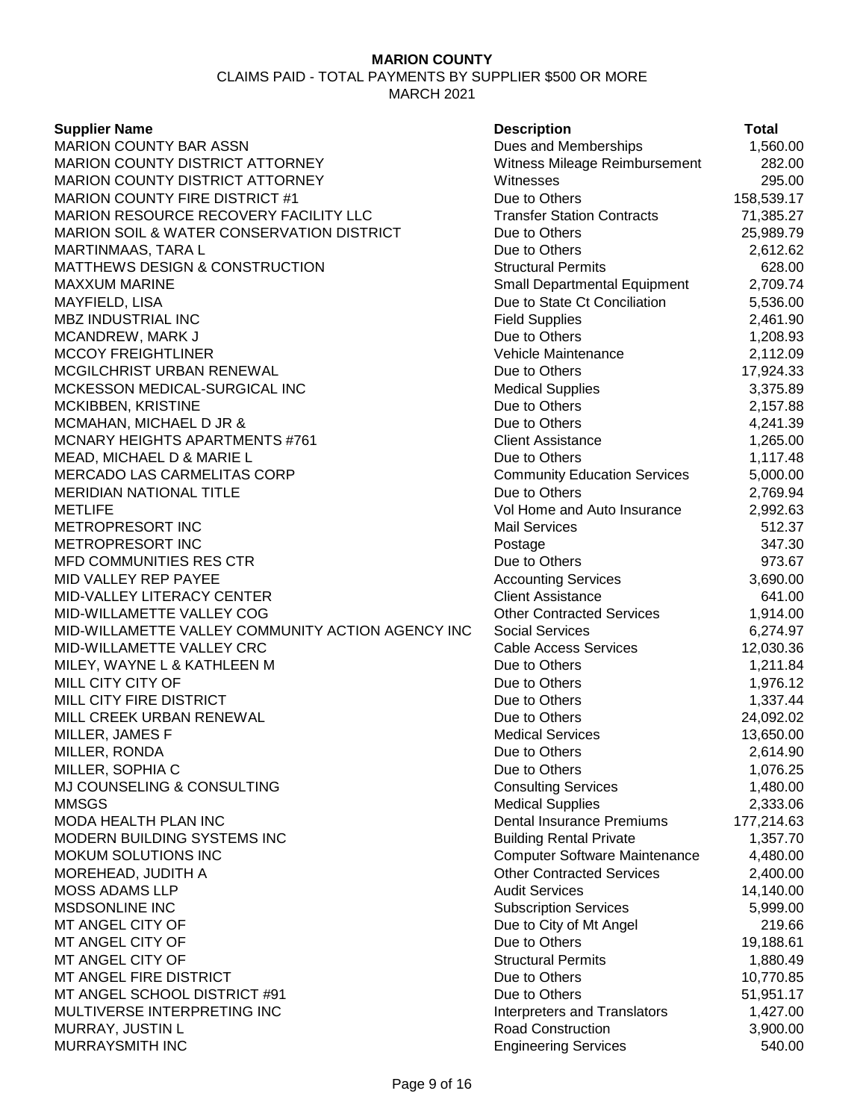CLAIMS PAID - TOTAL PAYMENTS BY SUPPLIER \$500 OR MORE MARCH 2021

**Supplier Name Description Total** MARION COUNTY BAR ASSN **Dues and Memberships** 1,560.00 MARION COUNTY DISTRICT ATTORNEY Witness Mileage Reimbursement 282.00 MARION COUNTY DISTRICT ATTORNEY Witnesses 295.00 MARION COUNTY FIRE DISTRICT #1 Due to Others 158,539.17 MARION RESOURCE RECOVERY FACILITY LLC Transfer Station Contracts 71,385.27 MARION SOIL & WATER CONSERVATION DISTRICT Due to Others 25,989.79 MARTINMAAS, TARA L Due to Others 2,612.62 MATTHEWS DESIGN & CONSTRUCTION GALLY STRUCTURE STRUCTURE STRUCTION STRUCTURE STRUCTURE STRUCTURE STRUCTURE STR MAXXUM MARINE **Small Departmental Equipment** 2,709.74 MAYFIELD, LISA **Due to State Ct Conciliation** 5,536.00 MBZ INDUSTRIAL INC **Example 2,461.90** Field Supplies **Field Supplies** 2,461.90 MCANDREW, MARK J Due to Others 1,208.93 MCCOY FREIGHTLINER Vehicle Maintenance 2,112.09 MCGILCHRIST URBAN RENEWAL DUE 10 Due to Others 17,924.33 MCKESSON MEDICAL-SURGICAL INC **Medical Supplies** 3,375.89 MCKIBBEN, KRISTINE 2.157.88 MCMAHAN, MICHAEL D JR & Due to Others 1,241.39 MCNARY HEIGHTS APARTMENTS #761 Client Assistance 1,265.00 MEAD, MICHAEL D & MARIE L DUE 1,117.48 MERCADO LAS CARMELITAS CORP Community Education Services 5,000.00 MERIDIAN NATIONAL TITLE **The Contract of the Community Contract Contract Contract Contract Contract Contract Contract Contract Contract Contract Contract Contract Contract Contract Contract Contract Contract Contract Contr** METLIFE Vol Home and Auto Insurance 2,992.63 METROPRESORT INC Mail Services 512.37 METROPRESORT INC Postage 347.30 MFD COMMUNITIES RES CTR **DUE 10 ASSESSED ASSESSED AT A COMMUNITIES RES CTR**  $\overline{973.67}$ MID VALLEY REP PAYEE **Accounting Services** 3,690.00 MID-VALLEY LITERACY CENTER Client Assistance 641.00 MID-WILLAMETTE VALLEY COG **A CONTRACT CONTRACT CONTRACTED SERVICES** 1,914.00 MID-WILLAMETTE VALLEY COMMUNITY ACTION AGENCY INC Social Services 6,274.97 MID-WILLAMETTE VALLEY CRC CABLE CABLE CABLE ACCESS Services 12.030.36 MILEY, WAYNE L & KATHLEEN M Due to Others 1,211.84 MILL CITY CITY OF **DUE 1,976.12** Due to Others 1,976.12 MILL CITY FIRE DISTRICT **CONSERVERS** DUE to Others 1,337.44 MILL CREEK URBAN RENEWAL **Example 24,092.02** Due to Others 24,092.02 MILLER, JAMES F Medical Services 13,650.00 MILLER, RONDA 2,614.90 MILLER, SOPHIA C Due to Others 1,076.25 MJ COUNSELING & CONSULTING CONSULTING CONSULTING CONSULTING CONSULTING CONSULTING CONSULTING CONSULTING CONSULTING MMSGS 2,333.06 MODA HEALTH PLAN INC **Notify 18the Struck Control Control** Dental Insurance Premiums 177,214.63 MODERN BUILDING SYSTEMS INC<br>
Building Rental Private 1,357.70 MOKUM SOLUTIONS INC **Computer Software Maintenance** 4,480.00 MOREHEAD, JUDITH A **CONTRACTED ASSESSED ASSESSED** Other Contracted Services 2,400.00 MOSS ADAMS LLP **Audit Services** 14,140.00 MSDSONLINE INC 5,999.00 MT ANGEL CITY OF **DUE 10 ANGEL CITY OF ANGEL CITY OF** DUE TO DUE to City of Mt Angel 219.66 MT ANGEL CITY OF **DUE 19, 19,188.61** Due to Others 19,188.61 MT ANGEL CITY OF STRUCTURE 1,880.49 MT ANGEL FIRE DISTRICT **Due to Others** 10,770.85 MT ANGEL SCHOOL DISTRICT #91 Due to Others Due to Others 51,951.17 MULTIVERSE INTERPRETING INC **INTERPRETING** INC MURRAY, JUSTIN L  $\begin{array}{ccc} 3,900.00 \end{array}$ MURRAYSMITH INC **Engineering Services** 540.00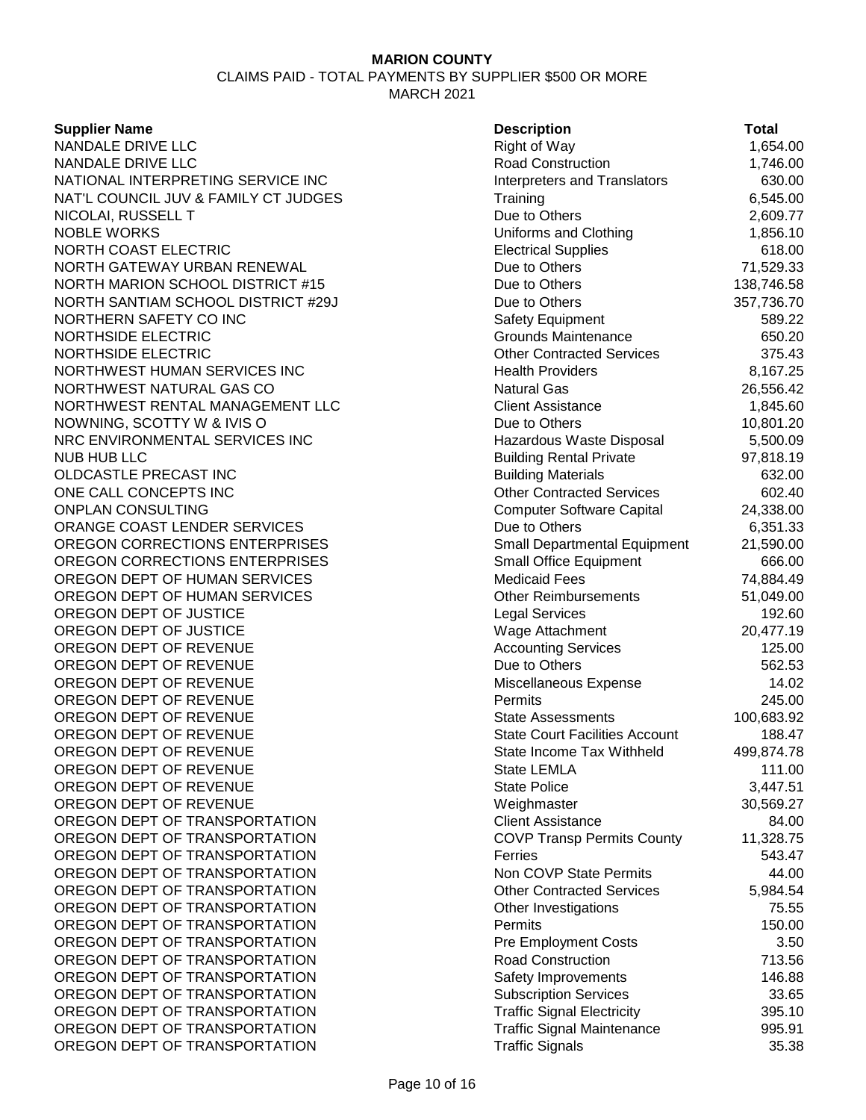CLAIMS PAID - TOTAL PAYMENTS BY SUPPLIER \$500 OR MORE MARCH 2021

#### **Supplier Name**

| <b>Supplier Name</b>                 | <b>Description</b>                    | <b>Total</b> |
|--------------------------------------|---------------------------------------|--------------|
| NANDALE DRIVE LLC                    | <b>Right of Way</b>                   | 1,654.00     |
| NANDALE DRIVE LLC                    | Road Construction                     | 1,746.00     |
| NATIONAL INTERPRETING SERVICE INC    | <b>Interpreters and Translators</b>   | 630.00       |
| NAT'L COUNCIL JUV & FAMILY CT JUDGES | Training                              | 6,545.00     |
| NICOLAI, RUSSELL T                   | Due to Others                         | 2,609.77     |
| <b>NOBLE WORKS</b>                   | Uniforms and Clothing                 | 1,856.10     |
| NORTH COAST ELECTRIC                 | <b>Electrical Supplies</b>            | 618.00       |
| NORTH GATEWAY URBAN RENEWAL          | Due to Others                         | 71,529.33    |
| NORTH MARION SCHOOL DISTRICT #15     | Due to Others                         | 138,746.58   |
| NORTH SANTIAM SCHOOL DISTRICT #29J   | Due to Others                         | 357,736.70   |
| NORTHERN SAFETY CO INC               | <b>Safety Equipment</b>               | 589.22       |
| NORTHSIDE ELECTRIC                   | Grounds Maintenance                   | 650.20       |
| NORTHSIDE ELECTRIC                   | <b>Other Contracted Services</b>      | 375.43       |
| NORTHWEST HUMAN SERVICES INC         | <b>Health Providers</b>               | 8,167.25     |
| NORTHWEST NATURAL GAS CO             | <b>Natural Gas</b>                    | 26,556.42    |
| NORTHWEST RENTAL MANAGEMENT LLC      | <b>Client Assistance</b>              | 1,845.60     |
| NOWNING, SCOTTY W & IVIS O           | Due to Others                         | 10,801.20    |
| NRC ENVIRONMENTAL SERVICES INC       | Hazardous Waste Disposal              | 5,500.09     |
| <b>NUB HUB LLC</b>                   | <b>Building Rental Private</b>        | 97,818.19    |
| OLDCASTLE PRECAST INC                | <b>Building Materials</b>             | 632.00       |
| ONE CALL CONCEPTS INC                | <b>Other Contracted Services</b>      | 602.40       |
| <b>ONPLAN CONSULTING</b>             | <b>Computer Software Capital</b>      | 24,338.00    |
| ORANGE COAST LENDER SERVICES         | Due to Others                         | 6,351.33     |
| OREGON CORRECTIONS ENTERPRISES       | <b>Small Departmental Equipment</b>   | 21,590.00    |
| OREGON CORRECTIONS ENTERPRISES       | <b>Small Office Equipment</b>         | 666.00       |
| OREGON DEPT OF HUMAN SERVICES        | <b>Medicaid Fees</b>                  | 74,884.49    |
| OREGON DEPT OF HUMAN SERVICES        | <b>Other Reimbursements</b>           | 51,049.00    |
| OREGON DEPT OF JUSTICE               | <b>Legal Services</b>                 | 192.60       |
| OREGON DEPT OF JUSTICE               | Wage Attachment                       | 20,477.19    |
| OREGON DEPT OF REVENUE               | <b>Accounting Services</b>            | 125.00       |
| OREGON DEPT OF REVENUE               | Due to Others                         | 562.53       |
| OREGON DEPT OF REVENUE               | Miscellaneous Expense                 | 14.02        |
| OREGON DEPT OF REVENUE               | Permits                               | 245.00       |
| OREGON DEPT OF REVENUE               | <b>State Assessments</b>              | 100,683.92   |
| OREGON DEPT OF REVENUE               | <b>State Court Facilities Account</b> | 188.47       |
| OREGON DEPT OF REVENUE               | State Income Tax Withheld             | 499,874.78   |
| OREGON DEPT OF REVENUE               | State LEMLA                           | 111.00       |
| OREGON DEPT OF REVENUE               | <b>State Police</b>                   | 3,447.51     |
| OREGON DEPT OF REVENUE               | Weighmaster                           | 30,569.27    |
| OREGON DEPT OF TRANSPORTATION        | <b>Client Assistance</b>              | 84.00        |
| OREGON DEPT OF TRANSPORTATION        | <b>COVP Transp Permits County</b>     | 11,328.75    |
| OREGON DEPT OF TRANSPORTATION        | Ferries                               | 543.47       |
| OREGON DEPT OF TRANSPORTATION        | Non COVP State Permits                | 44.00        |
| OREGON DEPT OF TRANSPORTATION        | <b>Other Contracted Services</b>      | 5,984.54     |
| OREGON DEPT OF TRANSPORTATION        | Other Investigations                  | 75.55        |
| OREGON DEPT OF TRANSPORTATION        | Permits                               | 150.00       |
| OREGON DEPT OF TRANSPORTATION        | <b>Pre Employment Costs</b>           | 3.50         |
| OREGON DEPT OF TRANSPORTATION        | <b>Road Construction</b>              | 713.56       |
| OREGON DEPT OF TRANSPORTATION        | Safety Improvements                   | 146.88       |
| OREGON DEPT OF TRANSPORTATION        | <b>Subscription Services</b>          | 33.65        |
| OREGON DEPT OF TRANSPORTATION        | <b>Traffic Signal Electricity</b>     | 395.10       |
| OREGON DEPT OF TRANSPORTATION        | <b>Traffic Signal Maintenance</b>     | 995.91       |
| OREGON DEPT OF TRANSPORTATION        | <b>Traffic Signals</b>                | 35.38        |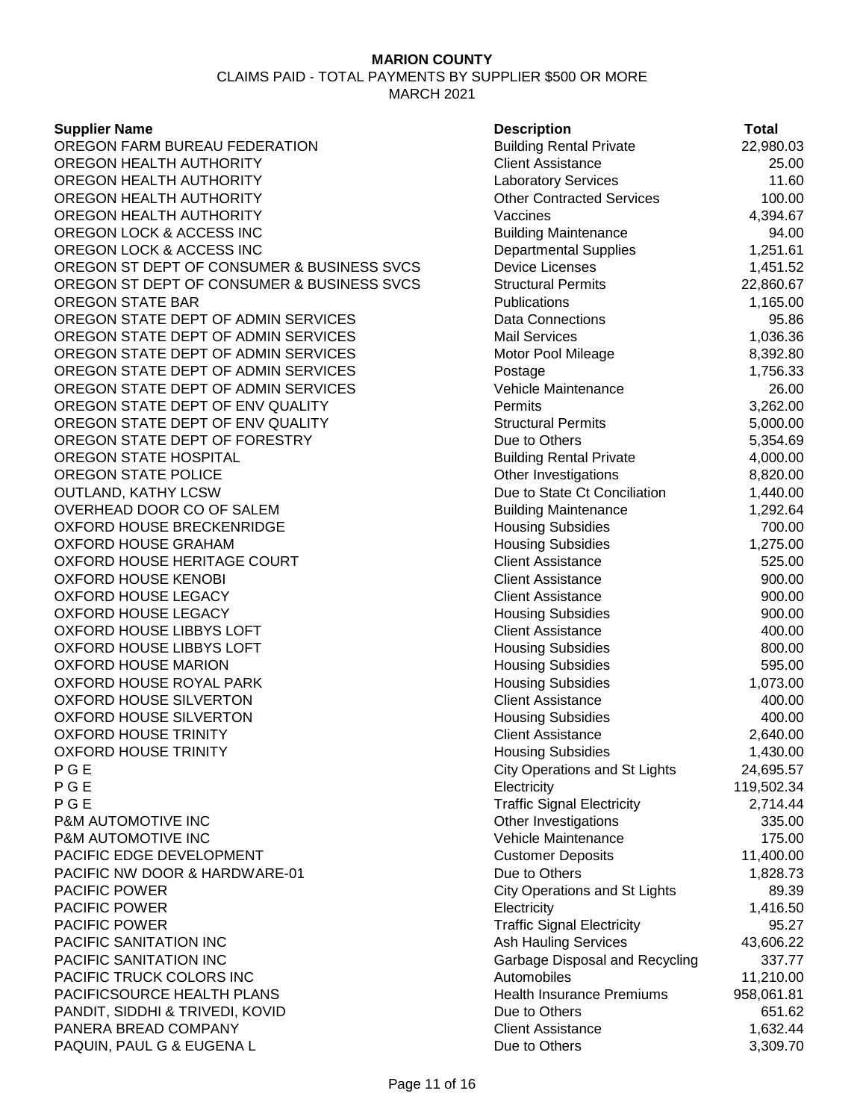CLAIMS PAID - TOTAL PAYMENTS BY SUPPLIER \$500 OR MORE MARCH 2021

#### **Supplier Name**

OREGON FARM BUREAU FEDERATION OREGON HEALTH AUTHORITY OREGON HEALTH AUTHORITY OREGON HEALTH AUTHORITY OREGON HEALTH AUTHORITY OREGON LOCK & ACCESS INC OREGON LOCK & ACCESS INC OREGON ST DEPT OF CONSUMER & BUSINESS SVCS OREGON ST DEPT OF CONSUMER & BUSINESS SVCS **OREGON STATE BAR** OREGON STATE DEPT OF ADMIN SERVICES OREGON STATE DEPT OF ADMIN SERVICES OREGON STATE DEPT OF ADMIN SERVICES OREGON STATE DEPT OF ADMIN SERVICES OREGON STATE DEPT OF ADMIN SERVICES OREGON STATE DEPT OF ENV QUALITY OREGON STATE DEPT OF ENV QUALITY OREGON STATE DEPT OF FORESTRY OREGON STATE HOSPITAL OREGON STATE POLICE **OUTLAND, KATHY LCSW** OVERHEAD DOOR CO OF SALEM OXFORD HOUSE BRECKENRIDGE **OXFORD HOUSE GRAHAM** OXFORD HOUSE HERITAGE COURT **OXFORD HOUSE KENOBI OXFORD HOUSE LEGACY OXFORD HOUSE LEGACY** OXFORD HOUSE LIBBYS LOFT OXFORD HOUSE LIBBYS LOFT OXFORD HOUSE MARION OXFORD HOUSE ROYAL PARK OXFORD HOUSE SILVERTON OXFORD HOUSE SILVERTON **OXFORD HOUSE TRINITY OXFORD HOUSE TRINITY** P G E City Operations and St Lights 24,695.57 P G E Electricity 119,502.34 P G E Traffic Signal Electricity 2,714.44 **P&M AUTOMOTIVE INC** P&M AUTOMOTIVE INC PACIFIC EDGE DEVELOPMENT PACIFIC NW DOOR & HARDWARE-01 PACIFIC POWER **PACIFIC POWER PACIFIC POWER** PACIFIC SANITATION INC PACIFIC SANITATION INC PACIFIC TRUCK COLORS INC PACIFICSOURCE HEALTH PLANS PANDIT, SIDDHI & TRIVEDI, KOVID PANERA BREAD COMPANY PAQUIN, PAUL G & EUGENA L Due to Others 3,309

| <b>Description</b>                   | Total      |
|--------------------------------------|------------|
| <b>Building Rental Private</b>       | 22,980.03  |
| <b>Client Assistance</b>             | 25.00      |
| <b>Laboratory Services</b>           | 11.60      |
| <b>Other Contracted Services</b>     | 100.00     |
| Vaccines                             | 4,394.67   |
| <b>Building Maintenance</b>          | 94.00      |
| <b>Departmental Supplies</b>         | 1,251.61   |
| <b>Device Licenses</b>               | 1,451.52   |
| <b>Structural Permits</b>            | 22,860.67  |
| Publications                         | 1,165.00   |
| <b>Data Connections</b>              | 95.86      |
| <b>Mail Services</b>                 | 1,036.36   |
| Motor Pool Mileage                   | 8,392.80   |
| Postage                              | 1,756.33   |
| Vehicle Maintenance                  | 26.00      |
| Permits                              | 3,262.00   |
| <b>Structural Permits</b>            | 5,000.00   |
| Due to Others                        | 5,354.69   |
| <b>Building Rental Private</b>       | 4,000.00   |
| Other Investigations                 | 8,820.00   |
| Due to State Ct Conciliation         | 1,440.00   |
| <b>Building Maintenance</b>          | 1,292.64   |
| <b>Housing Subsidies</b>             | 700.00     |
| <b>Housing Subsidies</b>             | 1,275.00   |
| <b>Client Assistance</b>             | 525.00     |
| <b>Client Assistance</b>             | 900.00     |
| <b>Client Assistance</b>             | 900.00     |
| <b>Housing Subsidies</b>             | 900.00     |
| <b>Client Assistance</b>             | 400.00     |
| <b>Housing Subsidies</b>             | 800.00     |
| <b>Housing Subsidies</b>             | 595.00     |
| <b>Housing Subsidies</b>             | 1,073.00   |
| <b>Client Assistance</b>             | 400.00     |
| <b>Housing Subsidies</b>             | 400.00     |
| <b>Client Assistance</b>             | 2,640.00   |
| <b>Housing Subsidies</b>             | 1,430.00   |
| <b>City Operations and St Lights</b> | 24,695.57  |
| Electricity                          | 119,502.34 |
| <b>Traffic Signal Electricity</b>    | 2,714.44   |
| Other Investigations                 | 335.00     |
| Vehicle Maintenance                  | 175.00     |
| <b>Customer Deposits</b>             | 11,400.00  |
| Due to Others                        | 1,828.73   |
| <b>City Operations and St Lights</b> | 89.39      |
| Electricity                          | 1,416.50   |
| <b>Traffic Signal Electricity</b>    | 95.27      |
| <b>Ash Hauling Services</b>          | 43,606.22  |
| Garbage Disposal and Recycling       | 337.77     |
| Automobiles                          | 11,210.00  |
| <b>Health Insurance Premiums</b>     | 958,061.81 |
| Due to Others                        | 651.62     |
| <b>Client Assistance</b>             | 1,632.44   |
| Due to Others                        | 3 309 70   |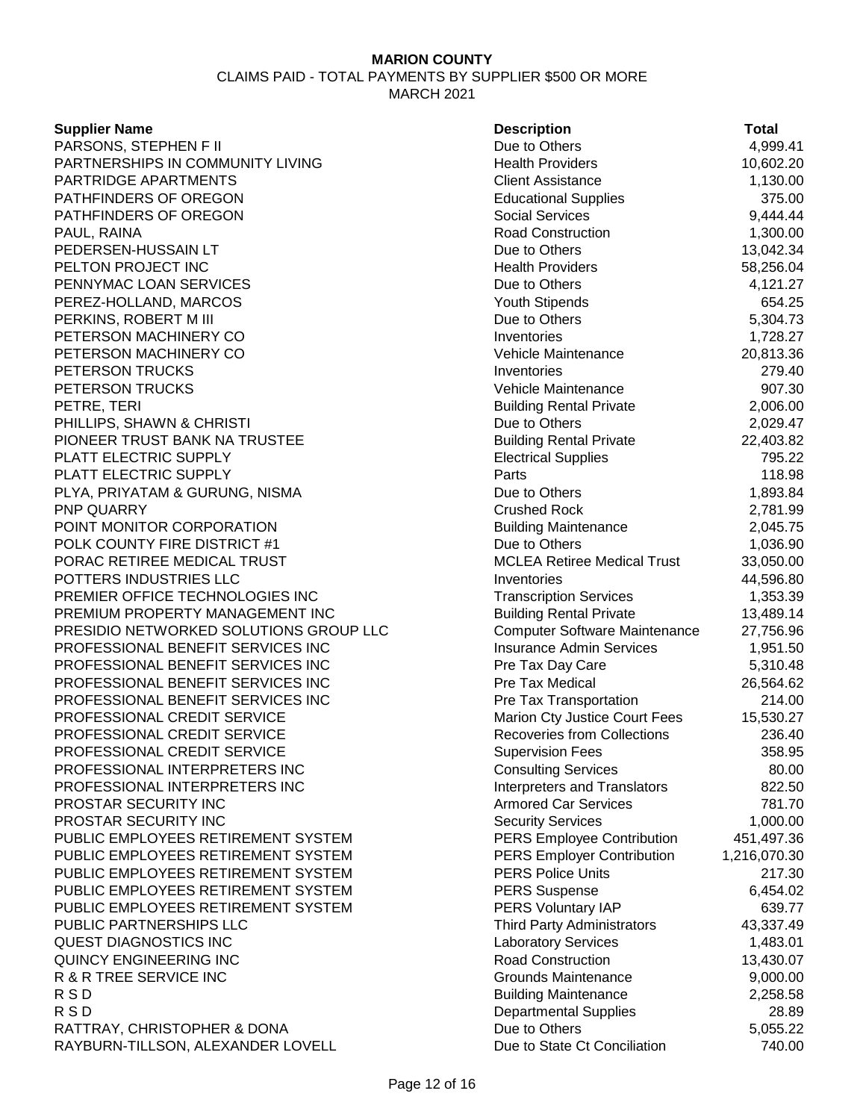| <b>Supplier Name</b>                   | <b>Description</b>                 | <b>Total</b> |
|----------------------------------------|------------------------------------|--------------|
| PARSONS, STEPHEN F II                  | Due to Others                      | 4,999.41     |
| PARTNERSHIPS IN COMMUNITY LIVING       | <b>Health Providers</b>            | 10,602.20    |
| PARTRIDGE APARTMENTS                   | <b>Client Assistance</b>           | 1,130.00     |
| PATHFINDERS OF OREGON                  | <b>Educational Supplies</b>        | 375.00       |
| PATHFINDERS OF OREGON                  | <b>Social Services</b>             | 9,444.44     |
| PAUL, RAINA                            | <b>Road Construction</b>           | 1,300.00     |
| PEDERSEN-HUSSAIN LT                    | Due to Others                      | 13,042.34    |
| PELTON PROJECT INC                     | <b>Health Providers</b>            | 58,256.04    |
| PENNYMAC LOAN SERVICES                 | Due to Others                      | 4,121.27     |
| PEREZ-HOLLAND, MARCOS                  | Youth Stipends                     | 654.25       |
| PERKINS, ROBERT M III                  | Due to Others                      | 5,304.73     |
| PETERSON MACHINERY CO                  | Inventories                        | 1,728.27     |
| PETERSON MACHINERY CO                  | Vehicle Maintenance                | 20,813.36    |
| PETERSON TRUCKS                        | Inventories                        | 279.40       |
| PETERSON TRUCKS                        | Vehicle Maintenance                | 907.30       |
| PETRE, TERI                            | <b>Building Rental Private</b>     | 2,006.00     |
| PHILLIPS, SHAWN & CHRISTI              | Due to Others                      | 2,029.47     |
| PIONEER TRUST BANK NA TRUSTEE          | <b>Building Rental Private</b>     | 22,403.82    |
| PLATT ELECTRIC SUPPLY                  | <b>Electrical Supplies</b>         | 795.22       |
| PLATT ELECTRIC SUPPLY                  | Parts                              | 118.98       |
| PLYA, PRIYATAM & GURUNG, NISMA         | Due to Others                      | 1,893.84     |
| PNP QUARRY                             | <b>Crushed Rock</b>                | 2,781.99     |
| POINT MONITOR CORPORATION              | <b>Building Maintenance</b>        | 2,045.75     |
| POLK COUNTY FIRE DISTRICT #1           | Due to Others                      | 1,036.90     |
| PORAC RETIREE MEDICAL TRUST            | <b>MCLEA Retiree Medical Trust</b> | 33,050.00    |
| POTTERS INDUSTRIES LLC                 | Inventories                        | 44,596.80    |
| PREMIER OFFICE TECHNOLOGIES INC        | <b>Transcription Services</b>      | 1,353.39     |
| PREMIUM PROPERTY MANAGEMENT INC        | <b>Building Rental Private</b>     | 13,489.14    |
| PRESIDIO NETWORKED SOLUTIONS GROUP LLC | Computer Software Maintenance      | 27,756.96    |
| PROFESSIONAL BENEFIT SERVICES INC      | <b>Insurance Admin Services</b>    | 1,951.50     |
| PROFESSIONAL BENEFIT SERVICES INC      | Pre Tax Day Care                   | 5,310.48     |
| PROFESSIONAL BENEFIT SERVICES INC      | Pre Tax Medical                    | 26,564.62    |
| PROFESSIONAL BENEFIT SERVICES INC      | Pre Tax Transportation             | 214.00       |
| PROFESSIONAL CREDIT SERVICE            | Marion Cty Justice Court Fees      | 15,530.27    |
| PROFESSIONAL CREDIT SERVICE            | <b>Recoveries from Collections</b> | 236.40       |
| PROFESSIONAL CREDIT SERVICE            | <b>Supervision Fees</b>            | 358.95       |
| PROFESSIONAL INTERPRETERS INC          | <b>Consulting Services</b>         | 80.00        |
| PROFESSIONAL INTERPRETERS INC          | Interpreters and Translators       | 822.50       |
| PROSTAR SECURITY INC                   | <b>Armored Car Services</b>        | 781.70       |
| PROSTAR SECURITY INC                   | <b>Security Services</b>           | 1,000.00     |
| PUBLIC EMPLOYEES RETIREMENT SYSTEM     | <b>PERS Employee Contribution</b>  | 451,497.36   |
| PUBLIC EMPLOYEES RETIREMENT SYSTEM     | <b>PERS Employer Contribution</b>  | 1,216,070.30 |
| PUBLIC EMPLOYEES RETIREMENT SYSTEM     | <b>PERS Police Units</b>           | 217.30       |
| PUBLIC EMPLOYEES RETIREMENT SYSTEM     | <b>PERS Suspense</b>               | 6,454.02     |
| PUBLIC EMPLOYEES RETIREMENT SYSTEM     | PERS Voluntary IAP                 | 639.77       |
| PUBLIC PARTNERSHIPS LLC                | <b>Third Party Administrators</b>  | 43,337.49    |
| QUEST DIAGNOSTICS INC                  | <b>Laboratory Services</b>         | 1,483.01     |
| QUINCY ENGINEERING INC                 | <b>Road Construction</b>           | 13,430.07    |
| R & R TREE SERVICE INC                 | <b>Grounds Maintenance</b>         | 9,000.00     |
| <b>RSD</b>                             | <b>Building Maintenance</b>        | 2,258.58     |
| <b>RSD</b>                             | <b>Departmental Supplies</b>       | 28.89        |
| RATTRAY, CHRISTOPHER & DONA            | Due to Others                      | 5,055.22     |
| RAYBURN-TILLSON, ALEXANDER LOVELL      | Due to State Ct Conciliation       | 740.00       |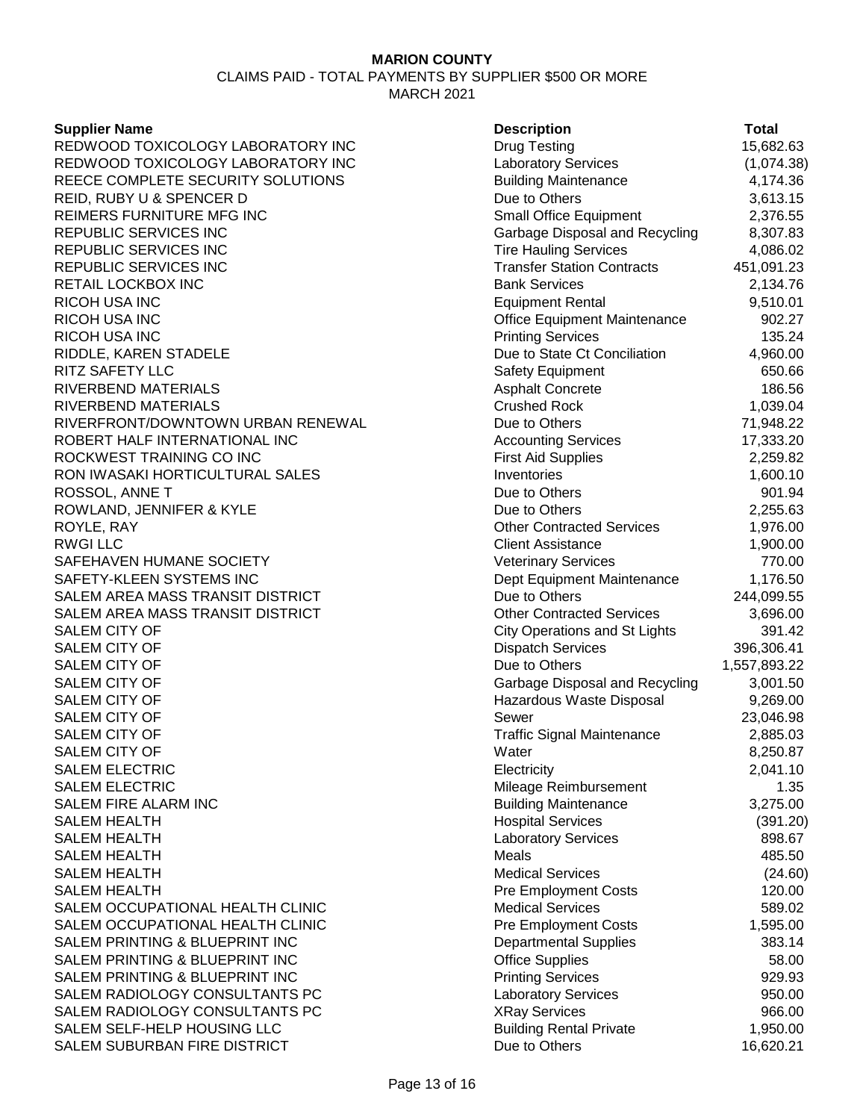#### **Supplier Name**

| <b>Supplier Name</b>              | <b>Description</b>                   | <b>Total</b> |
|-----------------------------------|--------------------------------------|--------------|
| REDWOOD TOXICOLOGY LABORATORY INC | <b>Drug Testing</b>                  | 15,682.63    |
| REDWOOD TOXICOLOGY LABORATORY INC | <b>Laboratory Services</b>           | (1,074.38)   |
| REECE COMPLETE SECURITY SOLUTIONS | <b>Building Maintenance</b>          | 4,174.36     |
| REID, RUBY U & SPENCER D          | Due to Others                        | 3,613.15     |
| REIMERS FURNITURE MFG INC         | <b>Small Office Equipment</b>        | 2,376.55     |
| REPUBLIC SERVICES INC             | Garbage Disposal and Recycling       | 8,307.83     |
| REPUBLIC SERVICES INC             | <b>Tire Hauling Services</b>         | 4,086.02     |
| REPUBLIC SERVICES INC             | <b>Transfer Station Contracts</b>    | 451,091.23   |
| RETAIL LOCKBOX INC                | <b>Bank Services</b>                 | 2,134.76     |
| RICOH USA INC                     | <b>Equipment Rental</b>              | 9,510.01     |
| RICOH USA INC                     | <b>Office Equipment Maintenance</b>  | 902.27       |
| RICOH USA INC                     | <b>Printing Services</b>             | 135.24       |
| RIDDLE, KAREN STADELE             | Due to State Ct Conciliation         | 4,960.00     |
| RITZ SAFETY LLC                   | Safety Equipment                     | 650.66       |
| RIVERBEND MATERIALS               | <b>Asphalt Concrete</b>              | 186.56       |
| RIVERBEND MATERIALS               | <b>Crushed Rock</b>                  | 1,039.04     |
| RIVERFRONT/DOWNTOWN URBAN RENEWAL | Due to Others                        | 71,948.22    |
| ROBERT HALF INTERNATIONAL INC     | <b>Accounting Services</b>           | 17,333.20    |
| ROCKWEST TRAINING CO INC          | <b>First Aid Supplies</b>            | 2,259.82     |
| RON IWASAKI HORTICULTURAL SALES   | Inventories                          | 1,600.10     |
| ROSSOL, ANNE T                    | Due to Others                        | 901.94       |
| ROWLAND, JENNIFER & KYLE          | Due to Others                        | 2,255.63     |
| ROYLE, RAY                        | <b>Other Contracted Services</b>     | 1,976.00     |
| <b>RWGI LLC</b>                   | <b>Client Assistance</b>             | 1,900.00     |
| SAFEHAVEN HUMANE SOCIETY          | <b>Veterinary Services</b>           | 770.00       |
| SAFETY-KLEEN SYSTEMS INC          | Dept Equipment Maintenance           | 1,176.50     |
| SALEM AREA MASS TRANSIT DISTRICT  | Due to Others                        | 244,099.55   |
| SALEM AREA MASS TRANSIT DISTRICT  | <b>Other Contracted Services</b>     | 3,696.00     |
| SALEM CITY OF                     | <b>City Operations and St Lights</b> | 391.42       |
| SALEM CITY OF                     | <b>Dispatch Services</b>             | 396,306.41   |
| SALEM CITY OF                     | Due to Others                        | 1,557,893.22 |
| <b>SALEM CITY OF</b>              | Garbage Disposal and Recycling       | 3,001.50     |
| <b>SALEM CITY OF</b>              | Hazardous Waste Disposal             | 9,269.00     |
| SALEM CITY OF                     | Sewer                                | 23,046.98    |
| <b>SALEM CITY OF</b>              | <b>Traffic Signal Maintenance</b>    | 2,885.03     |
| SALEM CITY OF                     | Water                                | 8,250.87     |
| <b>SALEM ELECTRIC</b>             | Electricity                          | 2,041.10     |
| <b>SALEM ELECTRIC</b>             | Mileage Reimbursement                | 1.35         |
| SALEM FIRE ALARM INC              | <b>Building Maintenance</b>          | 3,275.00     |
| <b>SALEM HEALTH</b>               | <b>Hospital Services</b>             | (391.20)     |
| SALEM HEALTH                      | <b>Laboratory Services</b>           | 898.67       |
| SALEM HEALTH                      | Meals                                | 485.50       |
| SALEM HEALTH                      | <b>Medical Services</b>              | (24.60)      |
| <b>SALEM HEALTH</b>               | <b>Pre Employment Costs</b>          | 120.00       |
| SALEM OCCUPATIONAL HEALTH CLINIC  | <b>Medical Services</b>              | 589.02       |
| SALEM OCCUPATIONAL HEALTH CLINIC  | <b>Pre Employment Costs</b>          | 1,595.00     |
| SALEM PRINTING & BLUEPRINT INC    | <b>Departmental Supplies</b>         | 383.14       |
| SALEM PRINTING & BLUEPRINT INC    | <b>Office Supplies</b>               | 58.00        |
| SALEM PRINTING & BLUEPRINT INC    | <b>Printing Services</b>             | 929.93       |
| SALEM RADIOLOGY CONSULTANTS PC    | <b>Laboratory Services</b>           | 950.00       |
| SALEM RADIOLOGY CONSULTANTS PC    | <b>XRay Services</b>                 | 966.00       |
| SALEM SELF-HELP HOUSING LLC       | <b>Building Rental Private</b>       | 1,950.00     |
| SALEM SUBURBAN FIRE DISTRICT      | Due to Others                        | 16,620.21    |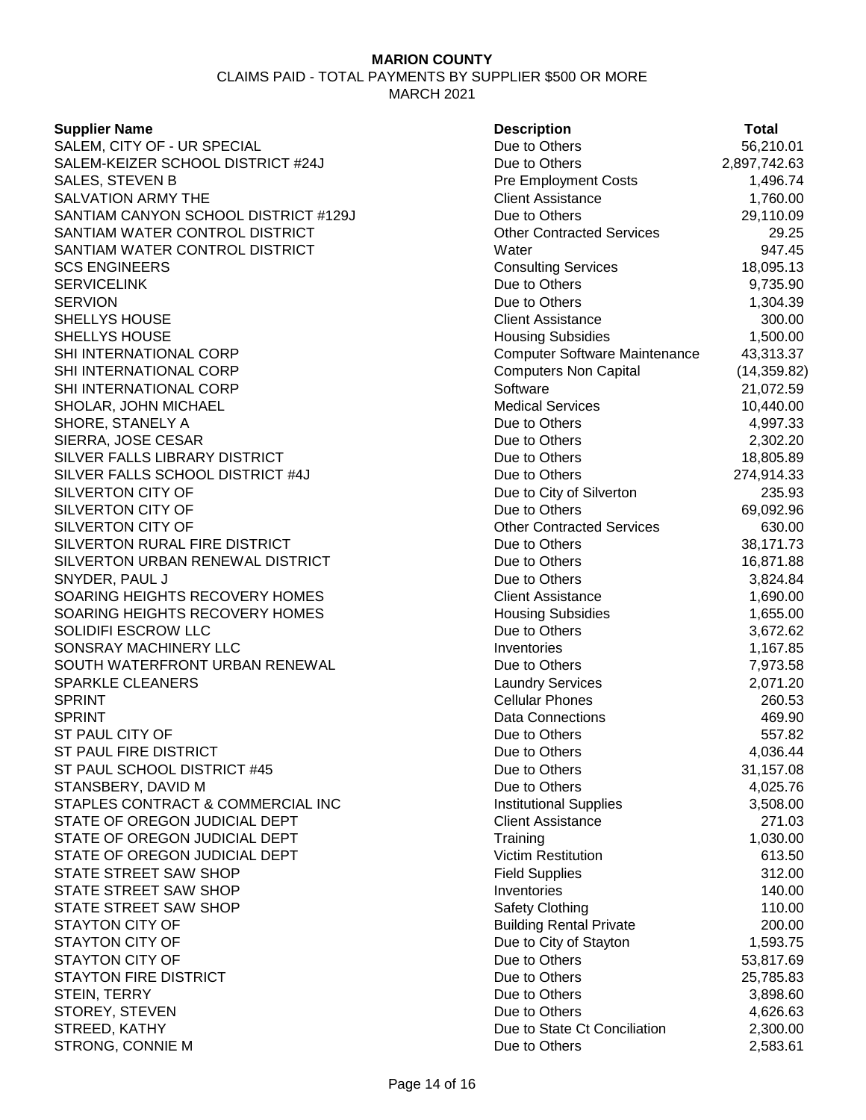## **Supplier Name Description Total** SALEM, CITY OF - UR SPECIAL DUE TO DUE TO DUE to Others 56,210.01 SALEM-KEIZER SCHOOL DISTRICT #24J Due to Others 2,897,742.63 SALES, STEVEN B 2008 1,496.74 SALVATION ARMY THE **Client Assistance** 1,760.00 SANTIAM CANYON SCHOOL DISTRICT #129J Due to Others 29,110.09 SANTIAM WATER CONTROL DISTRICT CONTROL CONTROL CONTROL CONTROL CONTROL 29.25 SANTIAM WATER CONTROL DISTRICT And Mater that water when the state of the state of the state of the state of the state of the state of the state of the state of the state of the state of the state of the state of the state SCS ENGINEERS **Consulting Services** 18,095.13 SERVICELINK Due to Others 9,735.90 SERVION And the others in the others that the Others is a set of the others of the others in the  $1,304.39$ SHELLYS HOUSE **Client Assistance** 300.00 SHELLYS HOUSE **All and Struck and Subsidies** 1,500.00 SHI INTERNATIONAL CORP Computer Software Maintenance 43,313.37 SHI INTERNATIONAL CORP Computers Non Capital (14,359.82) SHI INTERNATIONAL CORP Software 21,072.59 SHOLAR, JOHN MICHAEL **Medical Services** 10,440.00 SHORE, STANELY A  $\qquad \qquad \qquad$  Due to Others  $\qquad \qquad \qquad$  4,997.33 SIERRA, JOSE CESAR Due to Others 2,302.20 SILVER FALLS LIBRARY DISTRICT **CONSERVERS IN THE SILVER FALLS LIBRARY DISTRICT Due** to Others 18,805.89 SILVER FALLS SCHOOL DISTRICT #4J Due to Others 274,914.33 SILVERTON CITY OF **Due to City of Silverton** 235.93 SILVERTON CITY OF **DUE 10 ASSESSED ASSESSED AT A CONSTRUCT OF A CONSTRUCT OF A CONSTRUCT OF A CONSTRUCT OF A CONSTRUCT OF A CONSTRUCTION OF A CONSTRUCTION OF A CONSTRUCTION OF A CONSTRUCTION OF A CONSTRUCTION OF A CONSTRUC** SILVERTON CITY OF **CONTRACTED SERVICES** 630.00 SILVERTON RURAL FIRE DISTRICT **CONSUMING THE SILVERTON RURAL FIRE DISTRICT** Due to Others 38,171.73 SILVERTON URBAN RENEWAL DISTRICT Due to Others 16,871.88 SNYDER, PAUL J Due to Others 3,824.84 SOARING HEIGHTS RECOVERY HOMES Client Assistance 1,690.00 SOARING HEIGHTS RECOVERY HOMES **Housing Subsidies** Housing Subsidies 1,655.00 SOLIDIFI ESCROW LLC **SOLIDIFI ESCROW LLC SOLIDIFI ESCROW LLC Due to Others** 3,672.62 SONSRAY MACHINERY LLC **Inventories** Inventories 1,167.85 SOUTH WATERFRONT URBAN RENEWAL DUE TO DUE to Others T.973.58 SPARKLE CLEANERS **Laundry Services** 2,071.20 SPRINT 260.53 SPRINT And the set of the set of the set of the set of the set of the set of the set of the set of the set of the set of the set of the set of the set of the set of the set of the set of the set of the set of the set of th ST PAUL CITY OF GENERAL CONSULTER STATE CONSULTER STATE DUE to Others 557.82 ST PAUL FIRE DISTRICT And the Compact of the Compact Due to Others 4,036.44 ST PAUL SCHOOL DISTRICT #45 Due to Others 21,157.08 STANSBERY, DAVID M GALL AND RESOLUTION CONSIDERT AND DUE to Others A 4,025.76 STAPLES CONTRACT & COMMERCIAL INC **Institutional Supplies** 3,508.00 STATE OF OREGON JUDICIAL DEPT CONTROL CONTROLLER Client Assistance CONTROLLER 271.03 STATE OF OREGON JUDICIAL DEPT TRAINING TRAINING TRAINING TRAINING TRAINING TRAINING TRAINING TRAINING TRAINING STATE OF OREGON JUDICIAL DEPT Victim Restitution 613.50 STATE STREET SAW SHOP **STATE SUPPLIES AND STATE STREET** SAW SHOP STATE STREET SAW SHOP **Inventories** Inventories **140.00** STATE STREET SAW SHOP SAFET SAW SHOP SAFETY SAFETY CONTROLLER SAFETY SAFETY SAFETY SAFETY SAFETY SAFETY SAFETY STAYTON CITY OF **Building Rental Private** 200.00 STAYTON CITY OF **DUE 1,593.75** Due to City of Stayton 1,593.75 STAYTON CITY OF **DUE 12 STAYTON CITY OF** 53,817.69 STAYTON FIRE DISTRICT **STATISTICS** 25,785.83 STEIN, TERRY 3,898.60 STOREY, STEVEN 4,626.63 STREED, KATHY Due to State Ct Conciliation 2,300.00

STRONG, CONNIE M  $D$  bue to Others 2,583.61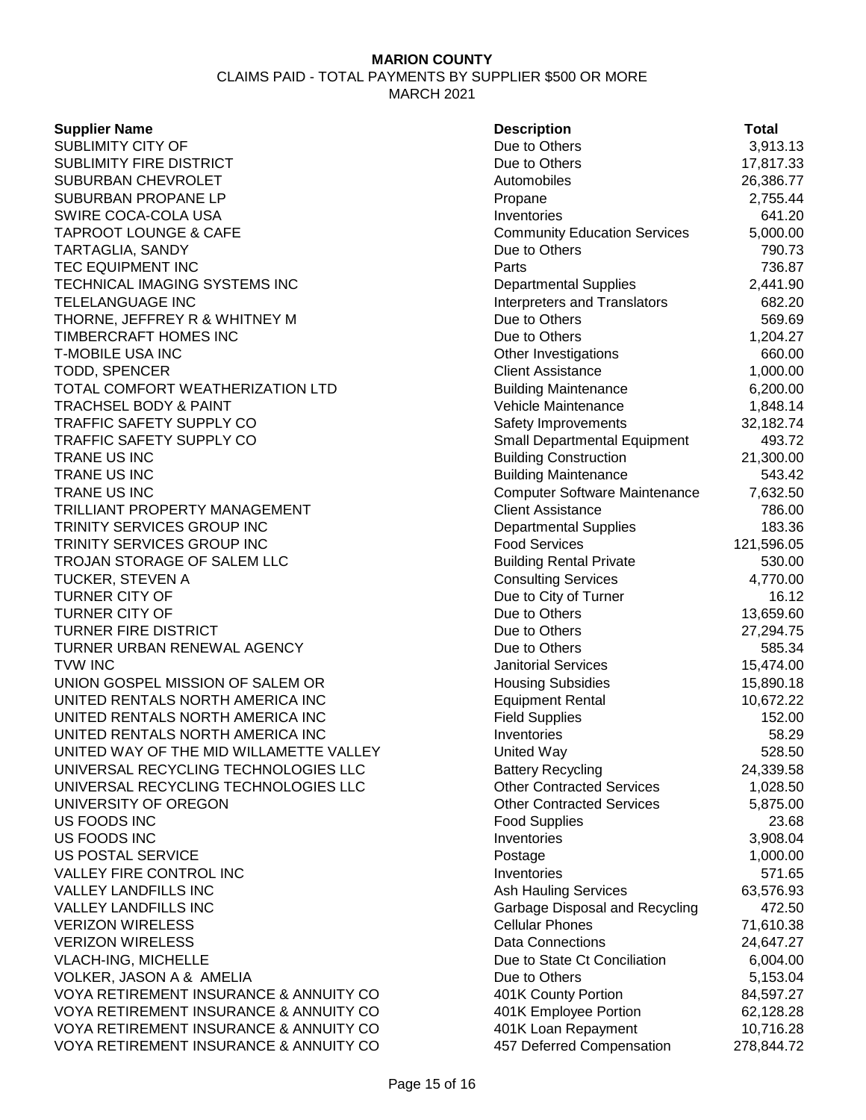**Supplier Name Description Total** SUBLIMITY CITY OF **DUE 18** SUBLIMITY CITY OF **DUE 18** SUBLIMITY CITY OF SUBLIMITY FIRE DISTRICT **SUBLIMITY FIRE DISTRICT DUE 17,817.33** SUBURBAN CHEVROLET **Automobiles** 26,386.77 SUBURBAN PROPANE LP **Propane** 2,755.44 SWIRE COCA-COLA USA **Inventories Inventories 1999 120 120 120 120 120** TAPROOT LOUNGE & CAFE COME COMMUNITY Education Services 5,000.00 TARTAGLIA, SANDY **TARTAGLIA**, SANDY **EXAMPLE 2018 12:33 TWO DUE TO Others** 790.73 TEC EQUIPMENT INC **Parts** 236.87 TECHNICAL IMAGING SYSTEMS INC<br>
Departmental Supplies 2,441.90 TELELANGUAGE INC **Interpreters and Translators** 682.20 THORNE, JEFFREY R & WHITNEY M Due to Others 569.69 and 569.69 TIMBERCRAFT HOMES INC **THE SET ON THE SET OF SET ON THE SET OF SET OF A SET OF SET OF SET OF SET OF SET OF SET O** T-MOBILE USA INC 660.00 TODD, SPENCER 1,000.00 TOTAL COMFORT WEATHERIZATION LTD Building Maintenance 6,200.00 TRACHSEL BODY & PAINT TRACHSEL BODY & PAINT TRAFFIC SAFETY SUPPLY CO **SAFETY SUPPLY CO** Safety Improvements 32,182.74 TRAFFIC SAFETY SUPPLY CO **Supering the Small Departmental Equipment** 493.72 TRANE US INC 21,300.00 TRANE US INC 6543.42 TRANE US INC Computer Software Maintenance 7,632.50 TRILLIANT PROPERTY MANAGEMENT CONSIDERITY Client Assistance TRILLIANT PROPERTY MANAGEMENT TRINITY SERVICES GROUP INC **DEPARTMENT CONSUMING TRINITY SERVICES** GROUP INC TRINITY SERVICES GROUP INC **Food Services** Food Services 121,596.05 TROJAN STORAGE OF SALEM LLC Building Rental Private 530.00 TUCKER, STEVEN A Consulting Services 4,770.00 TURNER CITY OF 16.12<br>TURNER CITY OF 16.12<br>Due to Others Due to Others 13.659.60 TURNER CITY OF **DUE TO A CITY OF A CITY OF A CITY OF A CITY** OF A CITY OF A CITY OF A CITY OF A CITY OF A CITY OF TURNER FIRE DISTRICT **THE SET ASSESSED ASSESSED ASSESSED.** Due to Others 27,294.75 TURNER URBAN RENEWAL AGENCY **Example 20 State 1 and 20 State 20 State 20 State 3 State 3 State 3 State 3 State 3 State 3 State 3 State 3 State 3 State 3 State 3 State 3 State 3 State 3 State 3 State 3 State 3 State 3 State** TVW INC 15.474.00 UNION GOSPEL MISSION OF SALEM OR **Housing Subsidies** 15,890.18 UNITED RENTALS NORTH AMERICA INC<br>
Equipment Rental 10,672.22 UNITED RENTALS NORTH AMERICA INC Field Supplies 152.00 UNITED RENTALS NORTH AMERICA INC **INVENTION CONTROLLER IN THE SUBSET OF SALES** 58.29 UNITED WAY OF THE MID WILLAMETTE VALLEY United Way United Way 528.50 UNIVERSAL RECYCLING TECHNOLOGIES LLC Battery Recycling 24,339.58 UNIVERSAL RECYCLING TECHNOLOGIES LLC **Other Contracted Services** (1,028.50) UNIVERSITY OF OREGON **Other Contracted Services** 5,875.00 US FOODS INC Food Supplies 23.68 US FOODS INC 3,908.04 US POSTAL SERVICE **1,000.00** Postage 1,000.00 VALLEY FIRE CONTROL INC **Inventories** FOULD INVENTION Inventories **571.65** VALLEY LANDFILLS INC **Ash Hauling Services** 63,576.93 VALLEY LANDFILLS INC **Garbage Disposal and Recycling** 472.50 VERIZON WIRELESS **Cellular Phones** 21,610.38 VERIZON WIRELESS **Data Connections** 24,647.27 VLACH-ING, MICHELLE **Due to State Ct Conciliation** 6,004.00 VOLKER, JASON A & AMELIA Due to Others 5,153.04 VOYA RETIREMENT INSURANCE & ANNUITY CO 401K County Portion 84,597.27 VOYA RETIREMENT INSURANCE & ANNUITY CO 401K Employee Portion 62,128.28 VOYA RETIREMENT INSURANCE & ANNUITY CO 401K Loan Repayment 10,716.28 VOYA RETIREMENT INSURANCE & ANNUITY CO 457 Deferred Compensation 278,844.72